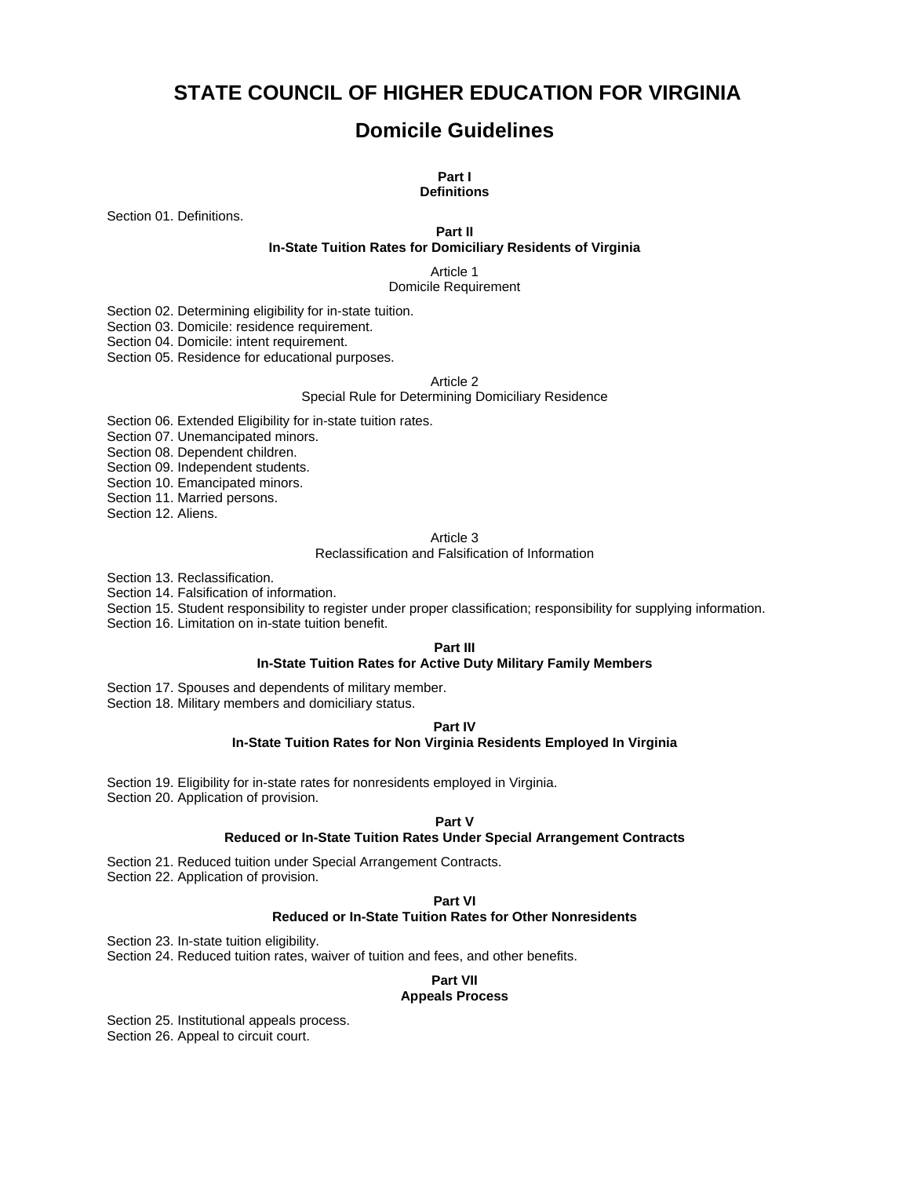# **STATE COUNCIL OF HIGHER EDUCATION FOR VIRGINIA**

# **Domicile Guidelines**

#### **Part I Definitions**

Section 01. Definitions.

**Part II** 

#### **In-State Tuition Rates for Domiciliary Residents of Virginia**

Article 1 Domicile Requirement

Section 02. Determining eligibility for in-state tuition.

Section 03. Domicile: residence requirement.

Section 04. Domicile: intent requirement.

Section 05. Residence for educational purposes.

#### Article 2

Special Rule for Determining Domiciliary Residence

Section 06. Extended Eligibility for in-state tuition rates.

Section 07. Unemancipated minors.

Section 08. Dependent children.

Section 09. Independent students.

Section 10. Emancipated minors.

Section 11. Married persons.

Section 12. Aliens.

#### Article 3

Reclassification and Falsification of Information

Section 13. Reclassification.

Section 14. Falsification of information.

Section 15. Student responsibility to register under proper classification; responsibility for supplying information.

Section 16. Limitation on in-state tuition benefit.

#### **Part III**

#### **In-State Tuition Rates for Active Duty Military Family Members**

Section 17. Spouses and dependents of military member.

Section 18. Military members and domiciliary status.

#### **Part IV**

#### **In-State Tuition Rates for Non Virginia Residents Employed In Virginia**

Section 19. Eligibility for in-state rates for nonresidents employed in Virginia. Section 20. Application of provision.

#### **Part V**

#### **Reduced or In-State Tuition Rates Under Special Arrangement Contracts**

Section 21. Reduced tuition under Special Arrangement Contracts.

Section 22. Application of provision.

#### **Part VI**

### **Reduced or In-State Tuition Rates for Other Nonresidents**

Section 23. In-state tuition eligibility.

Section 24. Reduced tuition rates, waiver of tuition and fees, and other benefits.

#### **Part VII Appeals Process**

Section 25. Institutional appeals process. Section 26. Appeal to circuit court.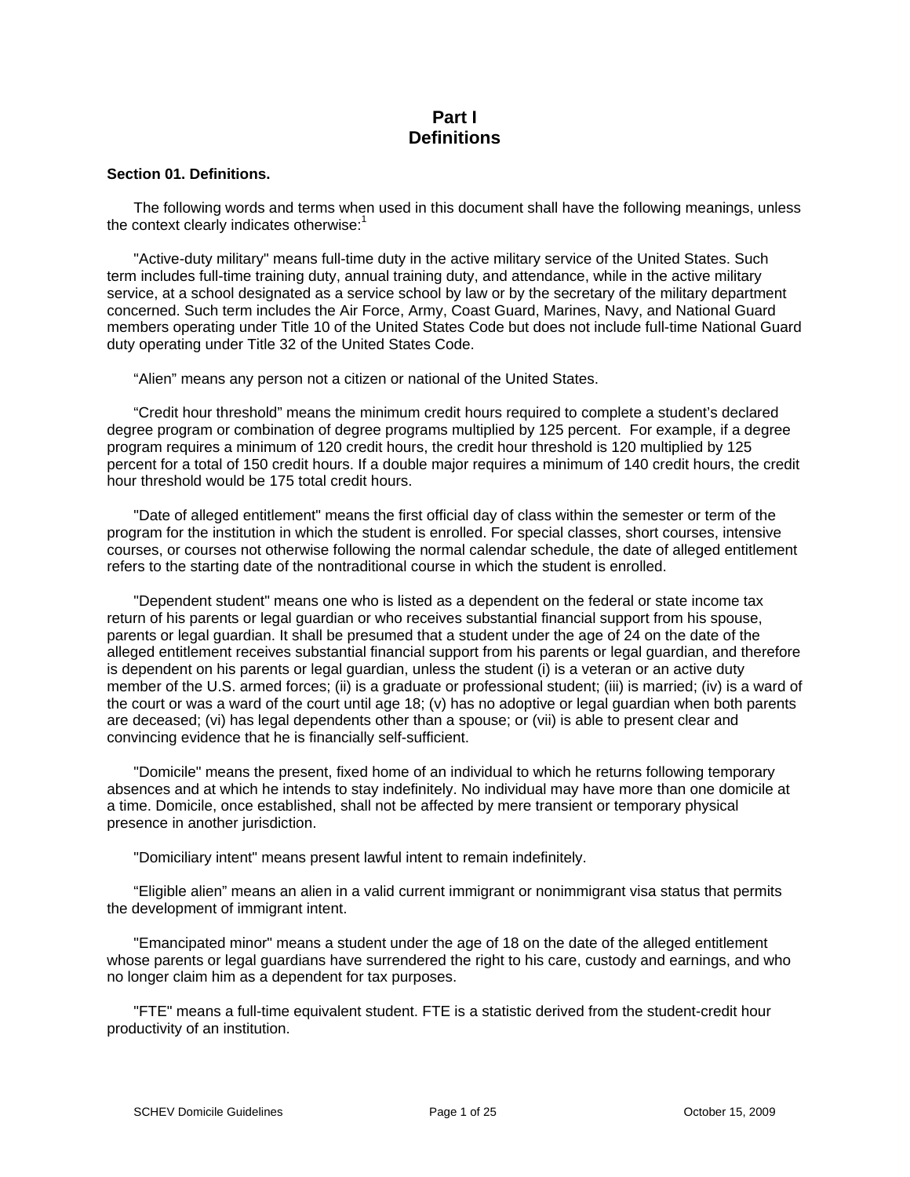# **Part I Definitions**

## **Section 01. Definitions.**

The following words and terms when used in this document shall have the following meanings, unless the context clearly indicates otherwise:<sup>1</sup>

"Active-duty military" means full-time duty in the active military service of the United States. Such term includes full-time training duty, annual training duty, and attendance, while in the active military service, at a school designated as a service school by law or by the secretary of the military department concerned. Such term includes the Air Force, Army, Coast Guard, Marines, Navy, and National Guard members operating under Title 10 of the United States Code but does not include full-time National Guard duty operating under Title 32 of the United States Code.

"Alien" means any person not a citizen or national of the United States.

"Credit hour threshold" means the minimum credit hours required to complete a student's declared degree program or combination of degree programs multiplied by 125 percent. For example, if a degree program requires a minimum of 120 credit hours, the credit hour threshold is 120 multiplied by 125 percent for a total of 150 credit hours. If a double major requires a minimum of 140 credit hours, the credit hour threshold would be 175 total credit hours.

"Date of alleged entitlement" means the first official day of class within the semester or term of the program for the institution in which the student is enrolled. For special classes, short courses, intensive courses, or courses not otherwise following the normal calendar schedule, the date of alleged entitlement refers to the starting date of the nontraditional course in which the student is enrolled.

"Dependent student" means one who is listed as a dependent on the federal or state income tax return of his parents or legal guardian or who receives substantial financial support from his spouse, parents or legal guardian. It shall be presumed that a student under the age of 24 on the date of the alleged entitlement receives substantial financial support from his parents or legal guardian, and therefore is dependent on his parents or legal guardian, unless the student (i) is a veteran or an active duty member of the U.S. armed forces; (ii) is a graduate or professional student; (iii) is married; (iv) is a ward of the court or was a ward of the court until age 18; (v) has no adoptive or legal guardian when both parents are deceased; (vi) has legal dependents other than a spouse; or (vii) is able to present clear and convincing evidence that he is financially self-sufficient.

"Domicile" means the present, fixed home of an individual to which he returns following temporary absences and at which he intends to stay indefinitely. No individual may have more than one domicile at a time. Domicile, once established, shall not be affected by mere transient or temporary physical presence in another jurisdiction.

"Domiciliary intent" means present lawful intent to remain indefinitely.

"Eligible alien" means an alien in a valid current immigrant or nonimmigrant visa status that permits the development of immigrant intent.

"Emancipated minor" means a student under the age of 18 on the date of the alleged entitlement whose parents or legal guardians have surrendered the right to his care, custody and earnings, and who no longer claim him as a dependent for tax purposes.

"FTE" means a full-time equivalent student. FTE is a statistic derived from the student-credit hour productivity of an institution.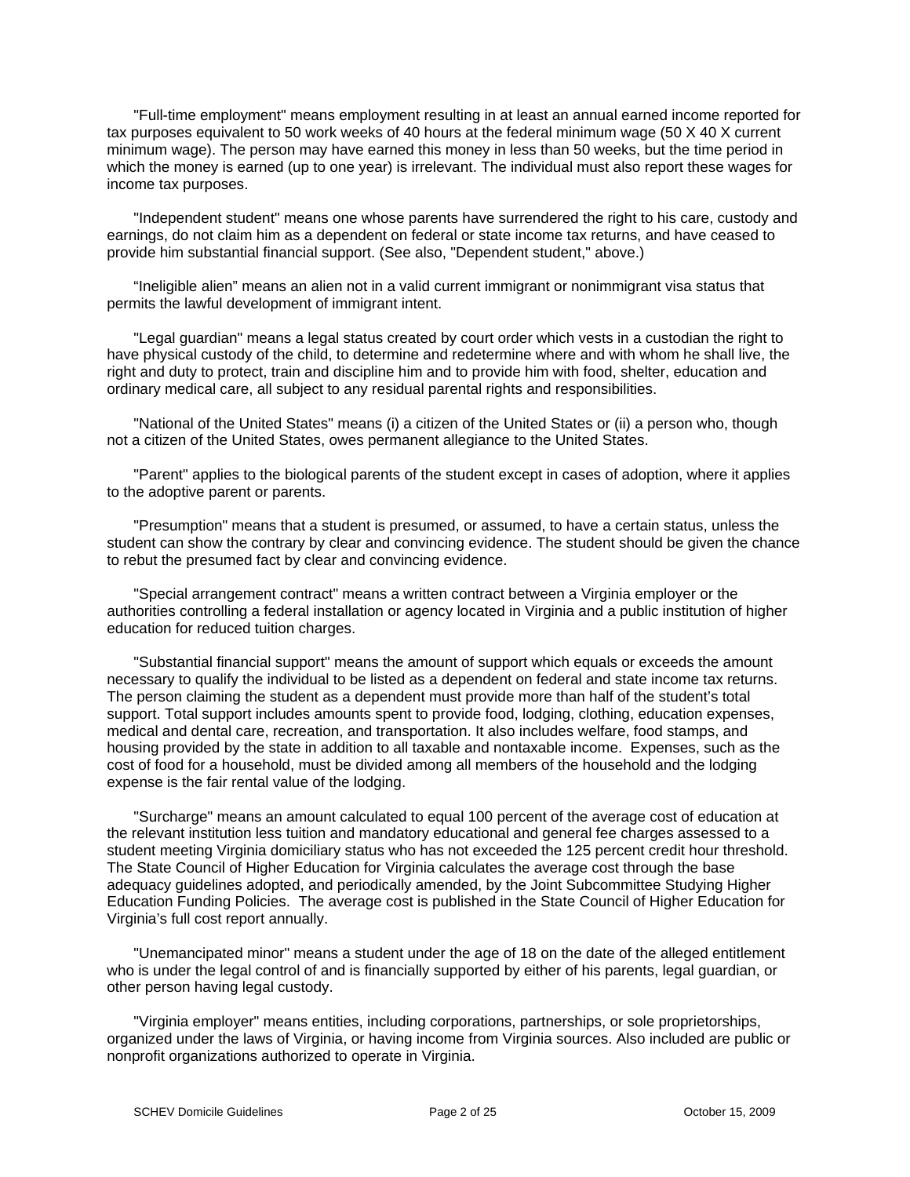"Full-time employment" means employment resulting in at least an annual earned income reported for tax purposes equivalent to 50 work weeks of 40 hours at the federal minimum wage (50 X 40 X current minimum wage). The person may have earned this money in less than 50 weeks, but the time period in which the money is earned (up to one year) is irrelevant. The individual must also report these wages for income tax purposes.

"Independent student" means one whose parents have surrendered the right to his care, custody and earnings, do not claim him as a dependent on federal or state income tax returns, and have ceased to provide him substantial financial support. (See also, "Dependent student," above.)

"Ineligible alien" means an alien not in a valid current immigrant or nonimmigrant visa status that permits the lawful development of immigrant intent.

"Legal guardian" means a legal status created by court order which vests in a custodian the right to have physical custody of the child, to determine and redetermine where and with whom he shall live, the right and duty to protect, train and discipline him and to provide him with food, shelter, education and ordinary medical care, all subject to any residual parental rights and responsibilities.

"National of the United States" means (i) a citizen of the United States or (ii) a person who, though not a citizen of the United States, owes permanent allegiance to the United States.

"Parent" applies to the biological parents of the student except in cases of adoption, where it applies to the adoptive parent or parents.

"Presumption" means that a student is presumed, or assumed, to have a certain status, unless the student can show the contrary by clear and convincing evidence. The student should be given the chance to rebut the presumed fact by clear and convincing evidence.

"Special arrangement contract" means a written contract between a Virginia employer or the authorities controlling a federal installation or agency located in Virginia and a public institution of higher education for reduced tuition charges.

"Substantial financial support" means the amount of support which equals or exceeds the amount necessary to qualify the individual to be listed as a dependent on federal and state income tax returns. The person claiming the student as a dependent must provide more than half of the student's total support. Total support includes amounts spent to provide food, lodging, clothing, education expenses, medical and dental care, recreation, and transportation. It also includes welfare, food stamps, and housing provided by the state in addition to all taxable and nontaxable income. Expenses, such as the cost of food for a household, must be divided among all members of the household and the lodging expense is the fair rental value of the lodging.

"Surcharge" means an amount calculated to equal 100 percent of the average cost of education at the relevant institution less tuition and mandatory educational and general fee charges assessed to a student meeting Virginia domiciliary status who has not exceeded the 125 percent credit hour threshold. The State Council of Higher Education for Virginia calculates the average cost through the base adequacy guidelines adopted, and periodically amended, by the Joint Subcommittee Studying Higher Education Funding Policies. The average cost is published in the State Council of Higher Education for Virginia's full cost report annually.

"Unemancipated minor" means a student under the age of 18 on the date of the alleged entitlement who is under the legal control of and is financially supported by either of his parents, legal guardian, or other person having legal custody.

"Virginia employer" means entities, including corporations, partnerships, or sole proprietorships, organized under the laws of Virginia, or having income from Virginia sources. Also included are public or nonprofit organizations authorized to operate in Virginia.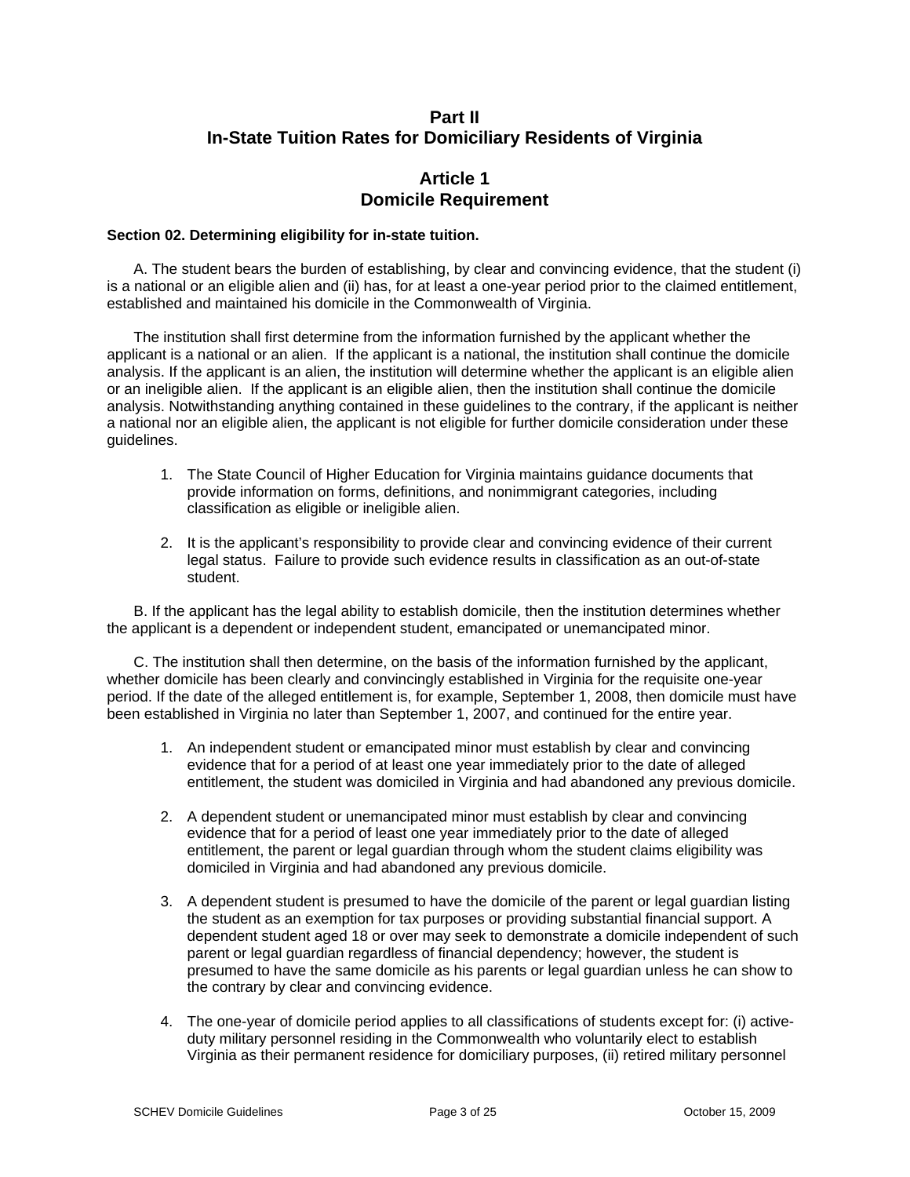# **Part II In-State Tuition Rates for Domiciliary Residents of Virginia**

## **Article 1 Domicile Requirement**

### **Section 02. Determining eligibility for in-state tuition.**

A. The student bears the burden of establishing, by clear and convincing evidence, that the student (i) is a national or an eligible alien and (ii) has, for at least a one-year period prior to the claimed entitlement, established and maintained his domicile in the Commonwealth of Virginia.

The institution shall first determine from the information furnished by the applicant whether the applicant is a national or an alien. If the applicant is a national, the institution shall continue the domicile analysis. If the applicant is an alien, the institution will determine whether the applicant is an eligible alien or an ineligible alien. If the applicant is an eligible alien, then the institution shall continue the domicile analysis. Notwithstanding anything contained in these guidelines to the contrary, if the applicant is neither a national nor an eligible alien, the applicant is not eligible for further domicile consideration under these guidelines.

- 1. The State Council of Higher Education for Virginia maintains guidance documents that provide information on forms, definitions, and nonimmigrant categories, including classification as eligible or ineligible alien.
- 2. It is the applicant's responsibility to provide clear and convincing evidence of their current legal status. Failure to provide such evidence results in classification as an out-of-state student.

B. If the applicant has the legal ability to establish domicile, then the institution determines whether the applicant is a dependent or independent student, emancipated or unemancipated minor.

C. The institution shall then determine, on the basis of the information furnished by the applicant, whether domicile has been clearly and convincingly established in Virginia for the requisite one-year period. If the date of the alleged entitlement is, for example, September 1, 2008, then domicile must have been established in Virginia no later than September 1, 2007, and continued for the entire year.

- 1. An independent student or emancipated minor must establish by clear and convincing evidence that for a period of at least one year immediately prior to the date of alleged entitlement, the student was domiciled in Virginia and had abandoned any previous domicile.
- 2. A dependent student or unemancipated minor must establish by clear and convincing evidence that for a period of least one year immediately prior to the date of alleged entitlement, the parent or legal guardian through whom the student claims eligibility was domiciled in Virginia and had abandoned any previous domicile.
- 3. A dependent student is presumed to have the domicile of the parent or legal guardian listing the student as an exemption for tax purposes or providing substantial financial support. A dependent student aged 18 or over may seek to demonstrate a domicile independent of such parent or legal guardian regardless of financial dependency; however, the student is presumed to have the same domicile as his parents or legal guardian unless he can show to the contrary by clear and convincing evidence.
- 4. The one-year of domicile period applies to all classifications of students except for: (i) activeduty military personnel residing in the Commonwealth who voluntarily elect to establish Virginia as their permanent residence for domiciliary purposes, (ii) retired military personnel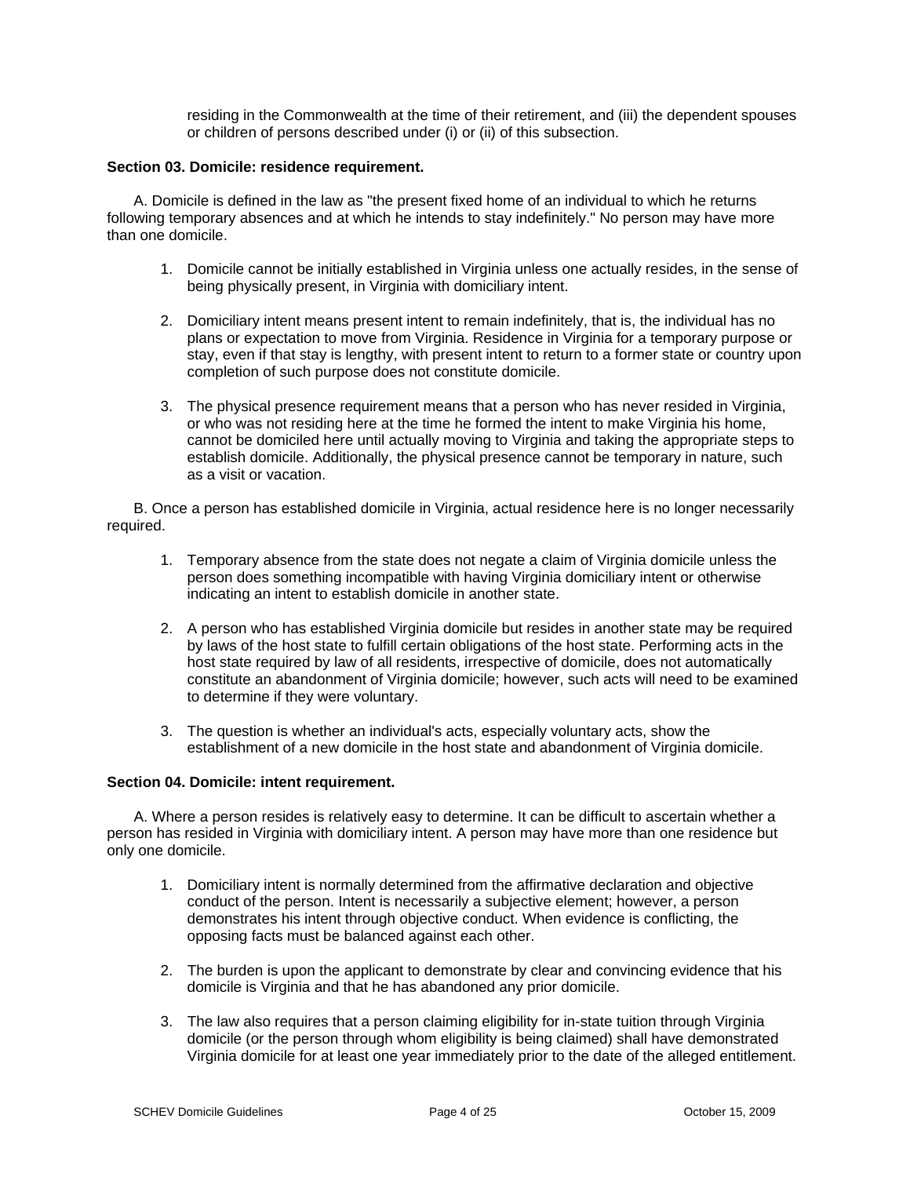residing in the Commonwealth at the time of their retirement, and (iii) the dependent spouses or children of persons described under (i) or (ii) of this subsection.

### **Section 03. Domicile: residence requirement.**

A. Domicile is defined in the law as "the present fixed home of an individual to which he returns following temporary absences and at which he intends to stay indefinitely." No person may have more than one domicile.

- 1. Domicile cannot be initially established in Virginia unless one actually resides, in the sense of being physically present, in Virginia with domiciliary intent.
- 2. Domiciliary intent means present intent to remain indefinitely, that is, the individual has no plans or expectation to move from Virginia. Residence in Virginia for a temporary purpose or stay, even if that stay is lengthy, with present intent to return to a former state or country upon completion of such purpose does not constitute domicile.
- 3. The physical presence requirement means that a person who has never resided in Virginia, or who was not residing here at the time he formed the intent to make Virginia his home, cannot be domiciled here until actually moving to Virginia and taking the appropriate steps to establish domicile. Additionally, the physical presence cannot be temporary in nature, such as a visit or vacation.

B. Once a person has established domicile in Virginia, actual residence here is no longer necessarily required.

- 1. Temporary absence from the state does not negate a claim of Virginia domicile unless the person does something incompatible with having Virginia domiciliary intent or otherwise indicating an intent to establish domicile in another state.
- 2. A person who has established Virginia domicile but resides in another state may be required by laws of the host state to fulfill certain obligations of the host state. Performing acts in the host state required by law of all residents, irrespective of domicile, does not automatically constitute an abandonment of Virginia domicile; however, such acts will need to be examined to determine if they were voluntary.
- 3. The question is whether an individual's acts, especially voluntary acts, show the establishment of a new domicile in the host state and abandonment of Virginia domicile.

### **Section 04. Domicile: intent requirement.**

A. Where a person resides is relatively easy to determine. It can be difficult to ascertain whether a person has resided in Virginia with domiciliary intent. A person may have more than one residence but only one domicile.

- 1. Domiciliary intent is normally determined from the affirmative declaration and objective conduct of the person. Intent is necessarily a subjective element; however, a person demonstrates his intent through objective conduct. When evidence is conflicting, the opposing facts must be balanced against each other.
- 2. The burden is upon the applicant to demonstrate by clear and convincing evidence that his domicile is Virginia and that he has abandoned any prior domicile.
- 3. The law also requires that a person claiming eligibility for in-state tuition through Virginia domicile (or the person through whom eligibility is being claimed) shall have demonstrated Virginia domicile for at least one year immediately prior to the date of the alleged entitlement.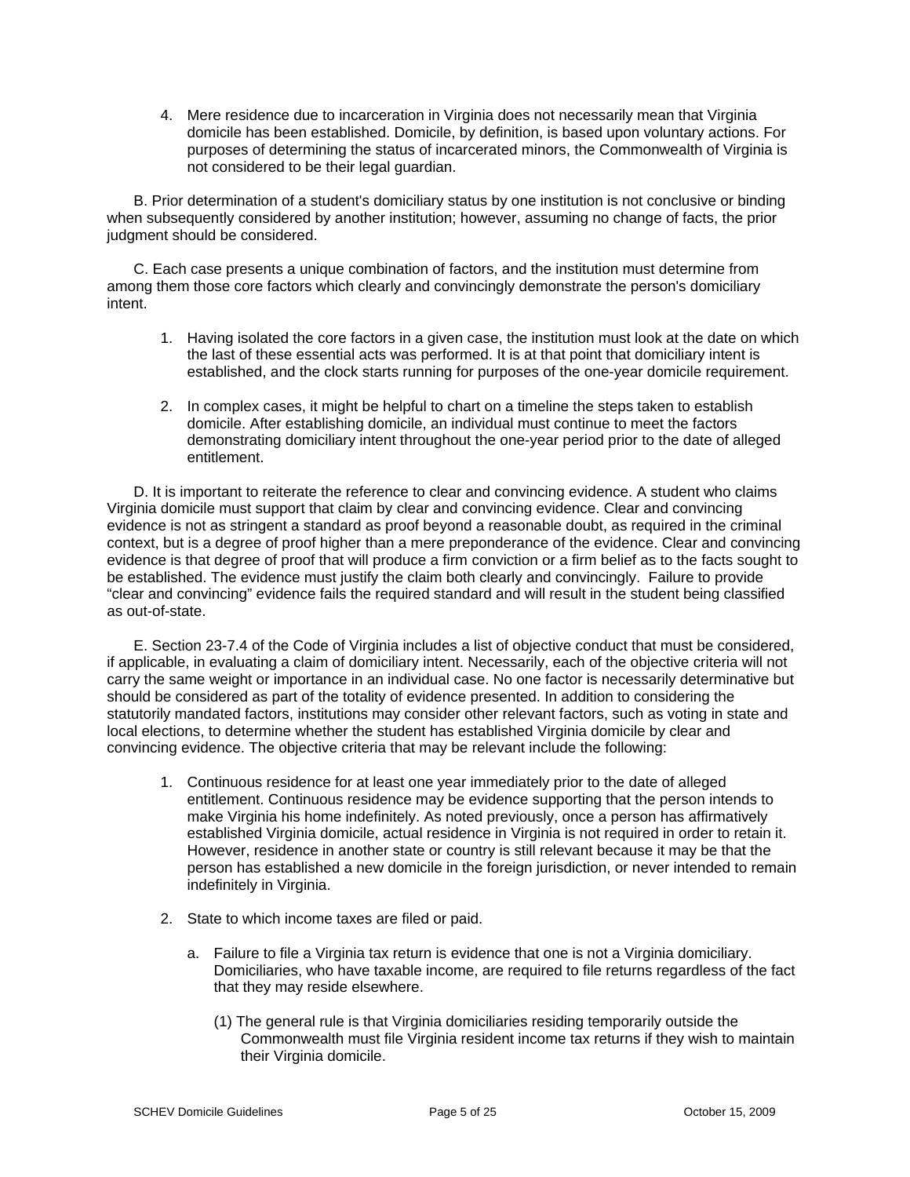4. Mere residence due to incarceration in Virginia does not necessarily mean that Virginia domicile has been established. Domicile, by definition, is based upon voluntary actions. For purposes of determining the status of incarcerated minors, the Commonwealth of Virginia is not considered to be their legal guardian.

B. Prior determination of a student's domiciliary status by one institution is not conclusive or binding when subsequently considered by another institution; however, assuming no change of facts, the prior judgment should be considered.

C. Each case presents a unique combination of factors, and the institution must determine from among them those core factors which clearly and convincingly demonstrate the person's domiciliary intent.

- 1. Having isolated the core factors in a given case, the institution must look at the date on which the last of these essential acts was performed. It is at that point that domiciliary intent is established, and the clock starts running for purposes of the one-year domicile requirement.
- 2. In complex cases, it might be helpful to chart on a timeline the steps taken to establish domicile. After establishing domicile, an individual must continue to meet the factors demonstrating domiciliary intent throughout the one-year period prior to the date of alleged entitlement.

D. It is important to reiterate the reference to clear and convincing evidence. A student who claims Virginia domicile must support that claim by clear and convincing evidence. Clear and convincing evidence is not as stringent a standard as proof beyond a reasonable doubt, as required in the criminal context, but is a degree of proof higher than a mere preponderance of the evidence. Clear and convincing evidence is that degree of proof that will produce a firm conviction or a firm belief as to the facts sought to be established. The evidence must justify the claim both clearly and convincingly. Failure to provide "clear and convincing" evidence fails the required standard and will result in the student being classified as out-of-state.

E. Section 23-7.4 of the Code of Virginia includes a list of objective conduct that must be considered, if applicable, in evaluating a claim of domiciliary intent. Necessarily, each of the objective criteria will not carry the same weight or importance in an individual case. No one factor is necessarily determinative but should be considered as part of the totality of evidence presented. In addition to considering the statutorily mandated factors, institutions may consider other relevant factors, such as voting in state and local elections, to determine whether the student has established Virginia domicile by clear and convincing evidence. The objective criteria that may be relevant include the following:

- 1. Continuous residence for at least one year immediately prior to the date of alleged entitlement. Continuous residence may be evidence supporting that the person intends to make Virginia his home indefinitely. As noted previously, once a person has affirmatively established Virginia domicile, actual residence in Virginia is not required in order to retain it. However, residence in another state or country is still relevant because it may be that the person has established a new domicile in the foreign jurisdiction, or never intended to remain indefinitely in Virginia.
- 2. State to which income taxes are filed or paid.
	- a. Failure to file a Virginia tax return is evidence that one is not a Virginia domiciliary. Domiciliaries, who have taxable income, are required to file returns regardless of the fact that they may reside elsewhere.
		- (1) The general rule is that Virginia domiciliaries residing temporarily outside the Commonwealth must file Virginia resident income tax returns if they wish to maintain their Virginia domicile.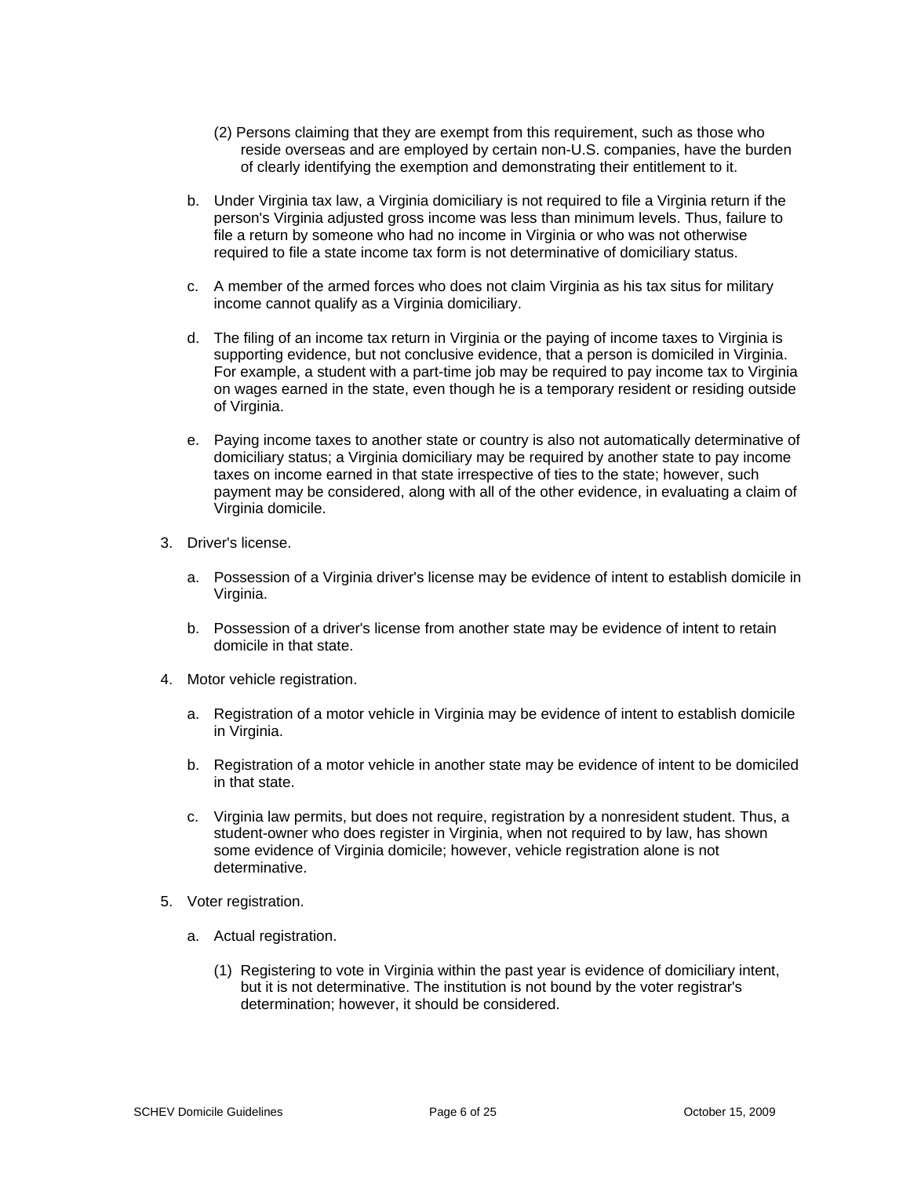- (2) Persons claiming that they are exempt from this requirement, such as those who reside overseas and are employed by certain non-U.S. companies, have the burden of clearly identifying the exemption and demonstrating their entitlement to it.
- b. Under Virginia tax law, a Virginia domiciliary is not required to file a Virginia return if the person's Virginia adjusted gross income was less than minimum levels. Thus, failure to file a return by someone who had no income in Virginia or who was not otherwise required to file a state income tax form is not determinative of domiciliary status.
- c. A member of the armed forces who does not claim Virginia as his tax situs for military income cannot qualify as a Virginia domiciliary.
- d. The filing of an income tax return in Virginia or the paying of income taxes to Virginia is supporting evidence, but not conclusive evidence, that a person is domiciled in Virginia. For example, a student with a part-time job may be required to pay income tax to Virginia on wages earned in the state, even though he is a temporary resident or residing outside of Virginia.
- e. Paying income taxes to another state or country is also not automatically determinative of domiciliary status; a Virginia domiciliary may be required by another state to pay income taxes on income earned in that state irrespective of ties to the state; however, such payment may be considered, along with all of the other evidence, in evaluating a claim of Virginia domicile.
- 3. Driver's license.
	- a. Possession of a Virginia driver's license may be evidence of intent to establish domicile in Virginia.
	- b. Possession of a driver's license from another state may be evidence of intent to retain domicile in that state.
- 4. Motor vehicle registration.
	- a. Registration of a motor vehicle in Virginia may be evidence of intent to establish domicile in Virginia.
	- b. Registration of a motor vehicle in another state may be evidence of intent to be domiciled in that state.
	- c. Virginia law permits, but does not require, registration by a nonresident student. Thus, a student-owner who does register in Virginia, when not required to by law, has shown some evidence of Virginia domicile; however, vehicle registration alone is not determinative.
- 5. Voter registration.
	- a. Actual registration.
		- (1) Registering to vote in Virginia within the past year is evidence of domiciliary intent, but it is not determinative. The institution is not bound by the voter registrar's determination; however, it should be considered.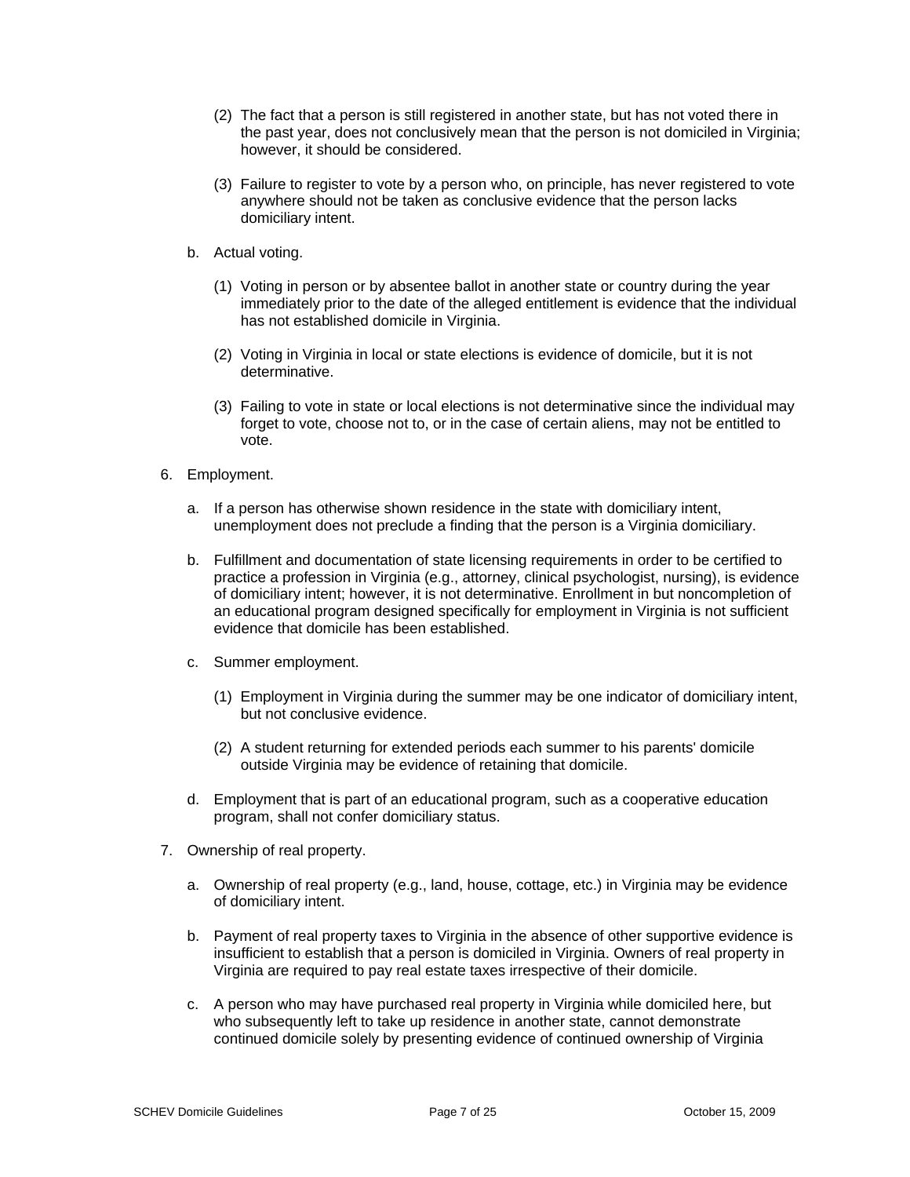- (2) The fact that a person is still registered in another state, but has not voted there in the past year, does not conclusively mean that the person is not domiciled in Virginia; however, it should be considered.
- (3) Failure to register to vote by a person who, on principle, has never registered to vote anywhere should not be taken as conclusive evidence that the person lacks domiciliary intent.
- b. Actual voting.
	- (1) Voting in person or by absentee ballot in another state or country during the year immediately prior to the date of the alleged entitlement is evidence that the individual has not established domicile in Virginia.
	- (2) Voting in Virginia in local or state elections is evidence of domicile, but it is not determinative.
	- (3) Failing to vote in state or local elections is not determinative since the individual may forget to vote, choose not to, or in the case of certain aliens, may not be entitled to vote.
- 6. Employment.
	- a. If a person has otherwise shown residence in the state with domiciliary intent, unemployment does not preclude a finding that the person is a Virginia domiciliary.
	- b. Fulfillment and documentation of state licensing requirements in order to be certified to practice a profession in Virginia (e.g., attorney, clinical psychologist, nursing), is evidence of domiciliary intent; however, it is not determinative. Enrollment in but noncompletion of an educational program designed specifically for employment in Virginia is not sufficient evidence that domicile has been established.
	- c. Summer employment.
		- (1) Employment in Virginia during the summer may be one indicator of domiciliary intent, but not conclusive evidence.
		- (2) A student returning for extended periods each summer to his parents' domicile outside Virginia may be evidence of retaining that domicile.
	- d. Employment that is part of an educational program, such as a cooperative education program, shall not confer domiciliary status.
- 7. Ownership of real property.
	- a. Ownership of real property (e.g., land, house, cottage, etc.) in Virginia may be evidence of domiciliary intent.
	- b. Payment of real property taxes to Virginia in the absence of other supportive evidence is insufficient to establish that a person is domiciled in Virginia. Owners of real property in Virginia are required to pay real estate taxes irrespective of their domicile.
	- c. A person who may have purchased real property in Virginia while domiciled here, but who subsequently left to take up residence in another state, cannot demonstrate continued domicile solely by presenting evidence of continued ownership of Virginia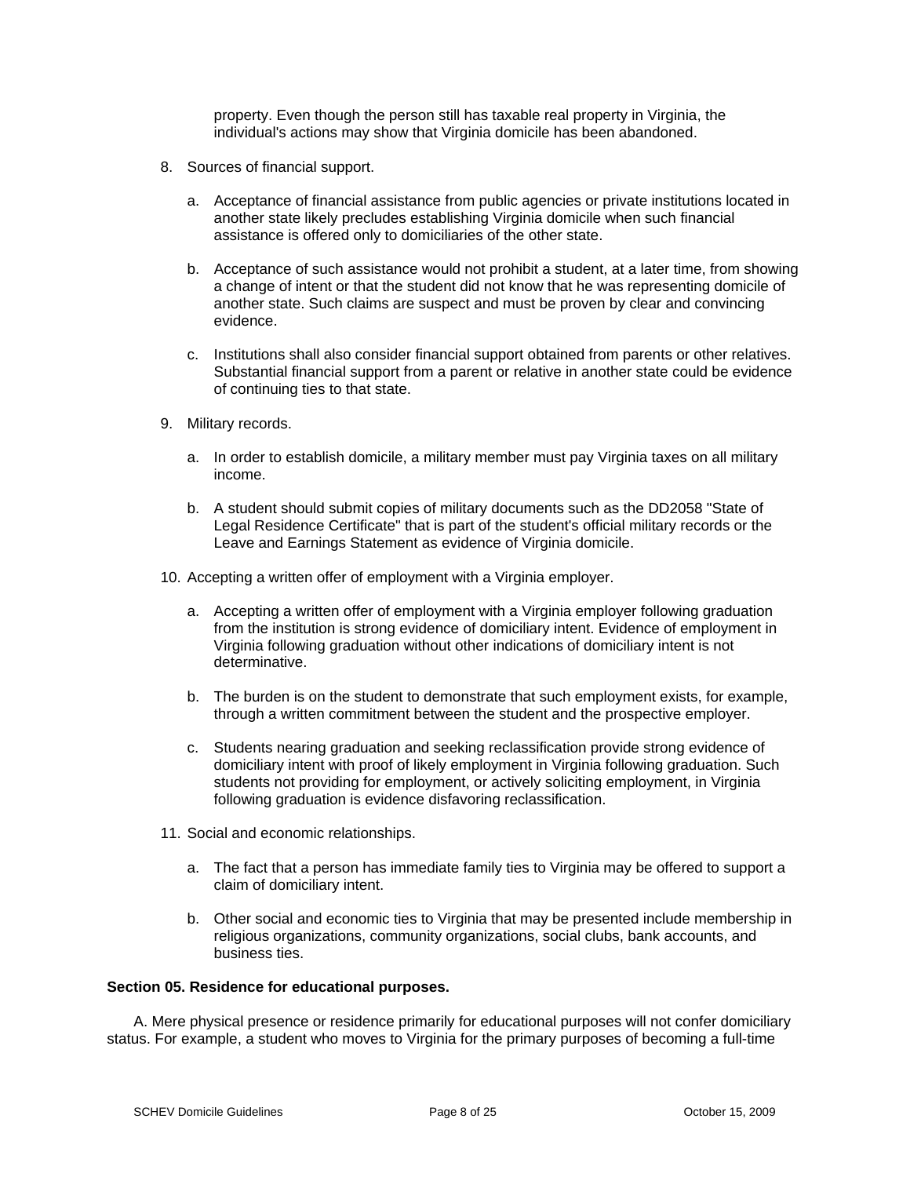property. Even though the person still has taxable real property in Virginia, the individual's actions may show that Virginia domicile has been abandoned.

- 8. Sources of financial support.
	- a. Acceptance of financial assistance from public agencies or private institutions located in another state likely precludes establishing Virginia domicile when such financial assistance is offered only to domiciliaries of the other state.
	- b. Acceptance of such assistance would not prohibit a student, at a later time, from showing a change of intent or that the student did not know that he was representing domicile of another state. Such claims are suspect and must be proven by clear and convincing evidence.
	- c. Institutions shall also consider financial support obtained from parents or other relatives. Substantial financial support from a parent or relative in another state could be evidence of continuing ties to that state.
- 9. Military records.
	- a. In order to establish domicile, a military member must pay Virginia taxes on all military income.
	- b. A student should submit copies of military documents such as the DD2058 "State of Legal Residence Certificate" that is part of the student's official military records or the Leave and Earnings Statement as evidence of Virginia domicile.
- 10. Accepting a written offer of employment with a Virginia employer.
	- a. Accepting a written offer of employment with a Virginia employer following graduation from the institution is strong evidence of domiciliary intent. Evidence of employment in Virginia following graduation without other indications of domiciliary intent is not determinative.
	- b. The burden is on the student to demonstrate that such employment exists, for example, through a written commitment between the student and the prospective employer.
	- c. Students nearing graduation and seeking reclassification provide strong evidence of domiciliary intent with proof of likely employment in Virginia following graduation. Such students not providing for employment, or actively soliciting employment, in Virginia following graduation is evidence disfavoring reclassification.
- 11. Social and economic relationships.
	- a. The fact that a person has immediate family ties to Virginia may be offered to support a claim of domiciliary intent.
	- b. Other social and economic ties to Virginia that may be presented include membership in religious organizations, community organizations, social clubs, bank accounts, and business ties.

#### **Section 05. Residence for educational purposes.**

A. Mere physical presence or residence primarily for educational purposes will not confer domiciliary status. For example, a student who moves to Virginia for the primary purposes of becoming a full-time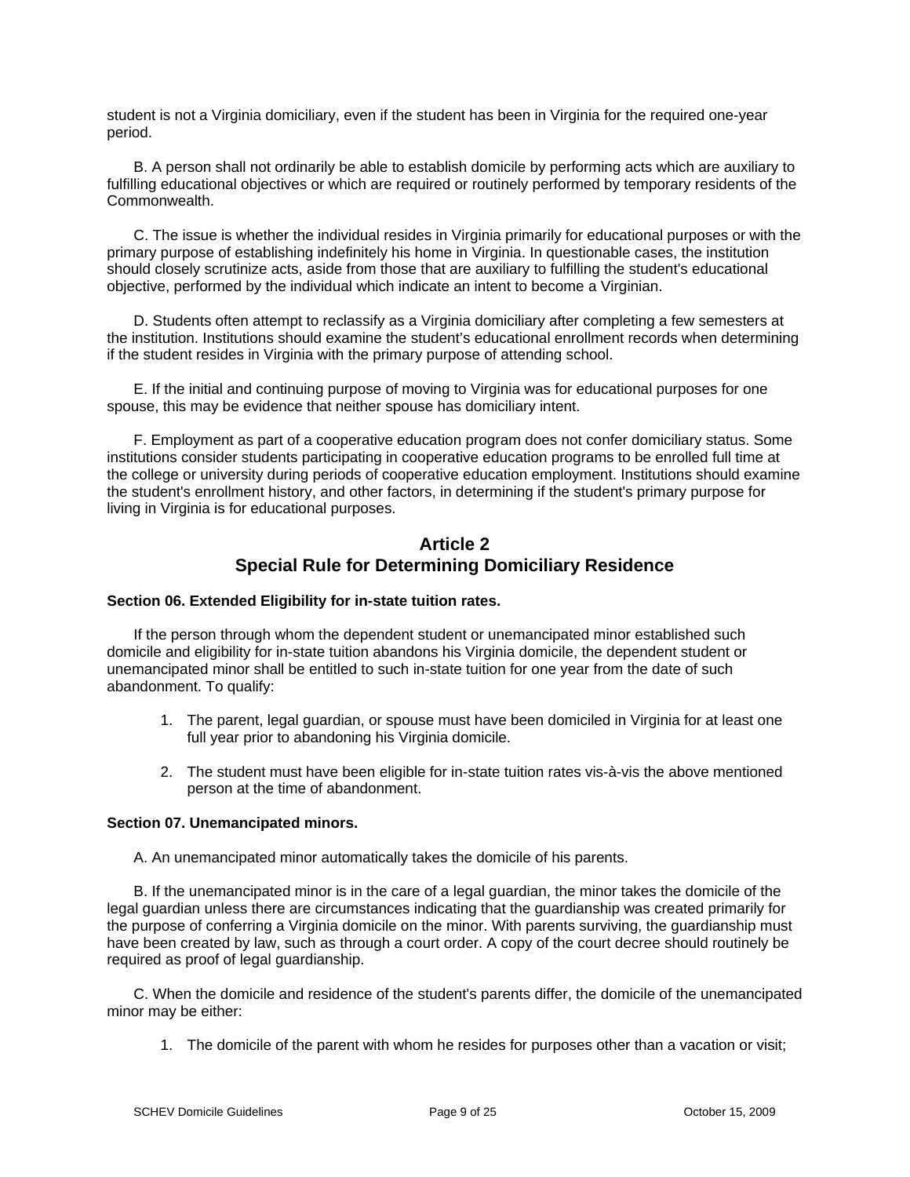student is not a Virginia domiciliary, even if the student has been in Virginia for the required one-year period.

B. A person shall not ordinarily be able to establish domicile by performing acts which are auxiliary to fulfilling educational objectives or which are required or routinely performed by temporary residents of the Commonwealth.

C. The issue is whether the individual resides in Virginia primarily for educational purposes or with the primary purpose of establishing indefinitely his home in Virginia. In questionable cases, the institution should closely scrutinize acts, aside from those that are auxiliary to fulfilling the student's educational objective, performed by the individual which indicate an intent to become a Virginian.

D. Students often attempt to reclassify as a Virginia domiciliary after completing a few semesters at the institution. Institutions should examine the student's educational enrollment records when determining if the student resides in Virginia with the primary purpose of attending school.

E. If the initial and continuing purpose of moving to Virginia was for educational purposes for one spouse, this may be evidence that neither spouse has domiciliary intent.

F. Employment as part of a cooperative education program does not confer domiciliary status. Some institutions consider students participating in cooperative education programs to be enrolled full time at the college or university during periods of cooperative education employment. Institutions should examine the student's enrollment history, and other factors, in determining if the student's primary purpose for living in Virginia is for educational purposes.

# **Article 2 Special Rule for Determining Domiciliary Residence**

## **Section 06. Extended Eligibility for in-state tuition rates.**

If the person through whom the dependent student or unemancipated minor established such domicile and eligibility for in-state tuition abandons his Virginia domicile, the dependent student or unemancipated minor shall be entitled to such in-state tuition for one year from the date of such abandonment. To qualify:

- 1. The parent, legal guardian, or spouse must have been domiciled in Virginia for at least one full year prior to abandoning his Virginia domicile.
- 2. The student must have been eligible for in-state tuition rates vis-à-vis the above mentioned person at the time of abandonment.

## **Section 07. Unemancipated minors.**

A. An unemancipated minor automatically takes the domicile of his parents.

B. If the unemancipated minor is in the care of a legal guardian, the minor takes the domicile of the legal guardian unless there are circumstances indicating that the guardianship was created primarily for the purpose of conferring a Virginia domicile on the minor. With parents surviving, the guardianship must have been created by law, such as through a court order. A copy of the court decree should routinely be required as proof of legal guardianship.

C. When the domicile and residence of the student's parents differ, the domicile of the unemancipated minor may be either:

1. The domicile of the parent with whom he resides for purposes other than a vacation or visit;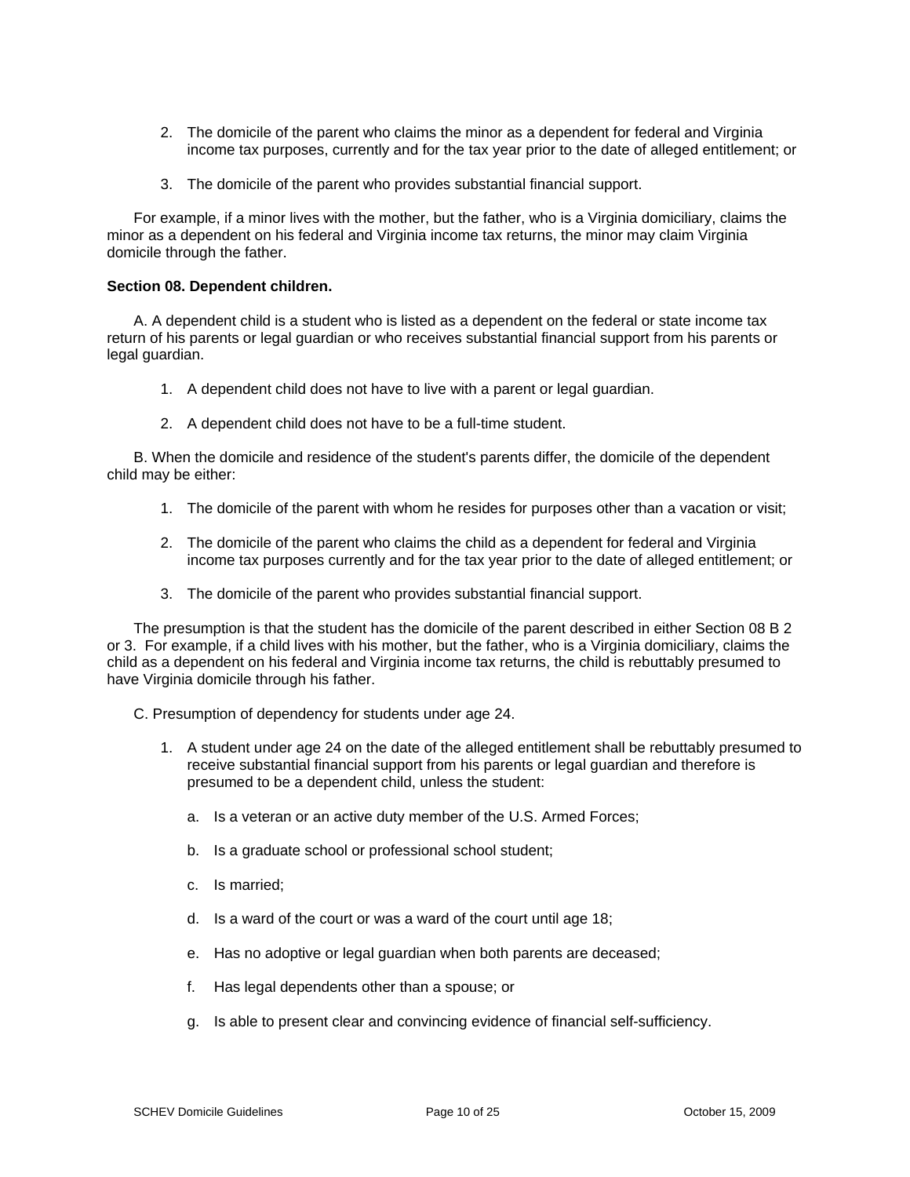- 2. The domicile of the parent who claims the minor as a dependent for federal and Virginia income tax purposes, currently and for the tax year prior to the date of alleged entitlement; or
- 3. The domicile of the parent who provides substantial financial support.

For example, if a minor lives with the mother, but the father, who is a Virginia domiciliary, claims the minor as a dependent on his federal and Virginia income tax returns, the minor may claim Virginia domicile through the father.

### **Section 08. Dependent children.**

A. A dependent child is a student who is listed as a dependent on the federal or state income tax return of his parents or legal guardian or who receives substantial financial support from his parents or legal guardian.

- 1. A dependent child does not have to live with a parent or legal guardian.
- 2. A dependent child does not have to be a full-time student.

B. When the domicile and residence of the student's parents differ, the domicile of the dependent child may be either:

- 1. The domicile of the parent with whom he resides for purposes other than a vacation or visit;
- 2. The domicile of the parent who claims the child as a dependent for federal and Virginia income tax purposes currently and for the tax year prior to the date of alleged entitlement; or
- 3. The domicile of the parent who provides substantial financial support.

The presumption is that the student has the domicile of the parent described in either Section 08 B 2 or 3. For example, if a child lives with his mother, but the father, who is a Virginia domiciliary, claims the child as a dependent on his federal and Virginia income tax returns, the child is rebuttably presumed to have Virginia domicile through his father.

C. Presumption of dependency for students under age 24.

- 1. A student under age 24 on the date of the alleged entitlement shall be rebuttably presumed to receive substantial financial support from his parents or legal guardian and therefore is presumed to be a dependent child, unless the student:
	- a. Is a veteran or an active duty member of the U.S. Armed Forces;
	- b. Is a graduate school or professional school student;
	- c. Is married;
	- d. Is a ward of the court or was a ward of the court until age 18;
	- e. Has no adoptive or legal guardian when both parents are deceased;
	- f. Has legal dependents other than a spouse; or
	- g. Is able to present clear and convincing evidence of financial self-sufficiency.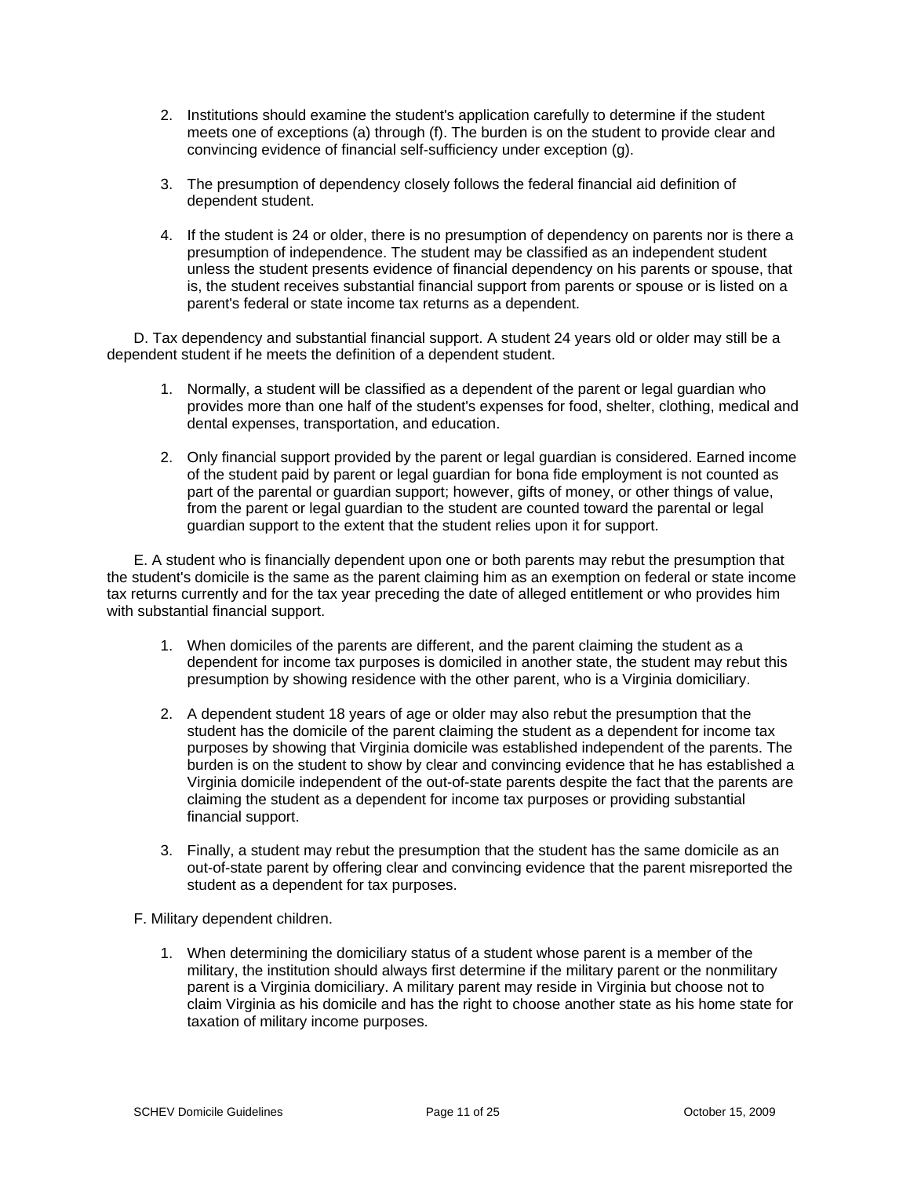- 2. Institutions should examine the student's application carefully to determine if the student meets one of exceptions (a) through (f). The burden is on the student to provide clear and convincing evidence of financial self-sufficiency under exception (g).
- 3. The presumption of dependency closely follows the federal financial aid definition of dependent student.
- 4. If the student is 24 or older, there is no presumption of dependency on parents nor is there a presumption of independence. The student may be classified as an independent student unless the student presents evidence of financial dependency on his parents or spouse, that is, the student receives substantial financial support from parents or spouse or is listed on a parent's federal or state income tax returns as a dependent.

D. Tax dependency and substantial financial support. A student 24 years old or older may still be a dependent student if he meets the definition of a dependent student.

- 1. Normally, a student will be classified as a dependent of the parent or legal guardian who provides more than one half of the student's expenses for food, shelter, clothing, medical and dental expenses, transportation, and education.
- 2. Only financial support provided by the parent or legal guardian is considered. Earned income of the student paid by parent or legal guardian for bona fide employment is not counted as part of the parental or guardian support; however, gifts of money, or other things of value, from the parent or legal guardian to the student are counted toward the parental or legal guardian support to the extent that the student relies upon it for support.

E. A student who is financially dependent upon one or both parents may rebut the presumption that the student's domicile is the same as the parent claiming him as an exemption on federal or state income tax returns currently and for the tax year preceding the date of alleged entitlement or who provides him with substantial financial support.

- 1. When domiciles of the parents are different, and the parent claiming the student as a dependent for income tax purposes is domiciled in another state, the student may rebut this presumption by showing residence with the other parent, who is a Virginia domiciliary.
- 2. A dependent student 18 years of age or older may also rebut the presumption that the student has the domicile of the parent claiming the student as a dependent for income tax purposes by showing that Virginia domicile was established independent of the parents. The burden is on the student to show by clear and convincing evidence that he has established a Virginia domicile independent of the out-of-state parents despite the fact that the parents are claiming the student as a dependent for income tax purposes or providing substantial financial support.
- 3. Finally, a student may rebut the presumption that the student has the same domicile as an out-of-state parent by offering clear and convincing evidence that the parent misreported the student as a dependent for tax purposes.

F. Military dependent children.

1. When determining the domiciliary status of a student whose parent is a member of the military, the institution should always first determine if the military parent or the nonmilitary parent is a Virginia domiciliary. A military parent may reside in Virginia but choose not to claim Virginia as his domicile and has the right to choose another state as his home state for taxation of military income purposes.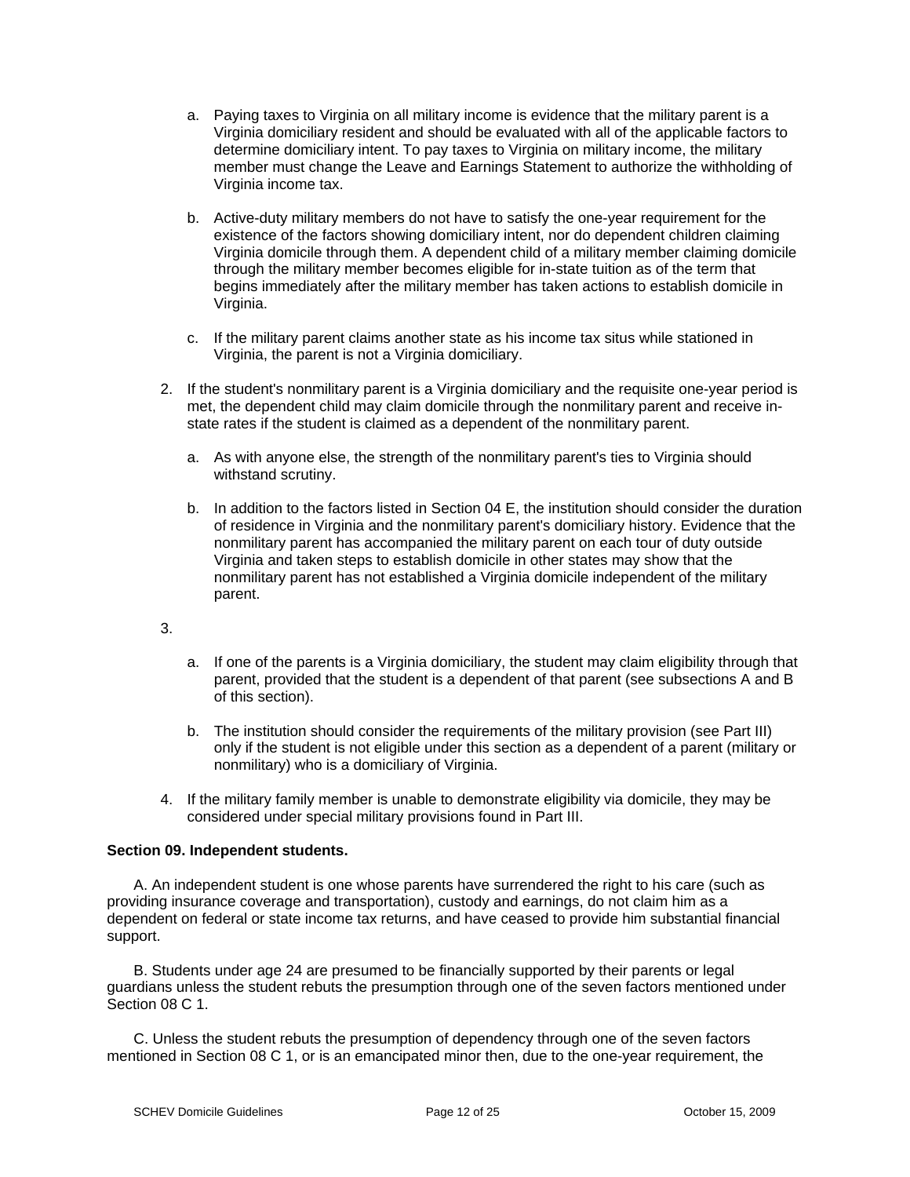- a. Paying taxes to Virginia on all military income is evidence that the military parent is a Virginia domiciliary resident and should be evaluated with all of the applicable factors to determine domiciliary intent. To pay taxes to Virginia on military income, the military member must change the Leave and Earnings Statement to authorize the withholding of Virginia income tax.
- b. Active-duty military members do not have to satisfy the one-year requirement for the existence of the factors showing domiciliary intent, nor do dependent children claiming Virginia domicile through them. A dependent child of a military member claiming domicile through the military member becomes eligible for in-state tuition as of the term that begins immediately after the military member has taken actions to establish domicile in Virginia.
- c. If the military parent claims another state as his income tax situs while stationed in Virginia, the parent is not a Virginia domiciliary.
- 2. If the student's nonmilitary parent is a Virginia domiciliary and the requisite one-year period is met, the dependent child may claim domicile through the nonmilitary parent and receive instate rates if the student is claimed as a dependent of the nonmilitary parent.
	- a. As with anyone else, the strength of the nonmilitary parent's ties to Virginia should withstand scrutiny.
	- b. In addition to the factors listed in Section 04 E, the institution should consider the duration of residence in Virginia and the nonmilitary parent's domiciliary history. Evidence that the nonmilitary parent has accompanied the military parent on each tour of duty outside Virginia and taken steps to establish domicile in other states may show that the nonmilitary parent has not established a Virginia domicile independent of the military parent.
- 3.
- a. If one of the parents is a Virginia domiciliary, the student may claim eligibility through that parent, provided that the student is a dependent of that parent (see subsections A and B of this section).
- b. The institution should consider the requirements of the military provision (see Part III) only if the student is not eligible under this section as a dependent of a parent (military or nonmilitary) who is a domiciliary of Virginia.
- 4. If the military family member is unable to demonstrate eligibility via domicile, they may be considered under special military provisions found in Part III.

## **Section 09. Independent students.**

A. An independent student is one whose parents have surrendered the right to his care (such as providing insurance coverage and transportation), custody and earnings, do not claim him as a dependent on federal or state income tax returns, and have ceased to provide him substantial financial support.

B. Students under age 24 are presumed to be financially supported by their parents or legal guardians unless the student rebuts the presumption through one of the seven factors mentioned under Section 08 C 1.

C. Unless the student rebuts the presumption of dependency through one of the seven factors mentioned in Section 08 C 1, or is an emancipated minor then, due to the one-year requirement, the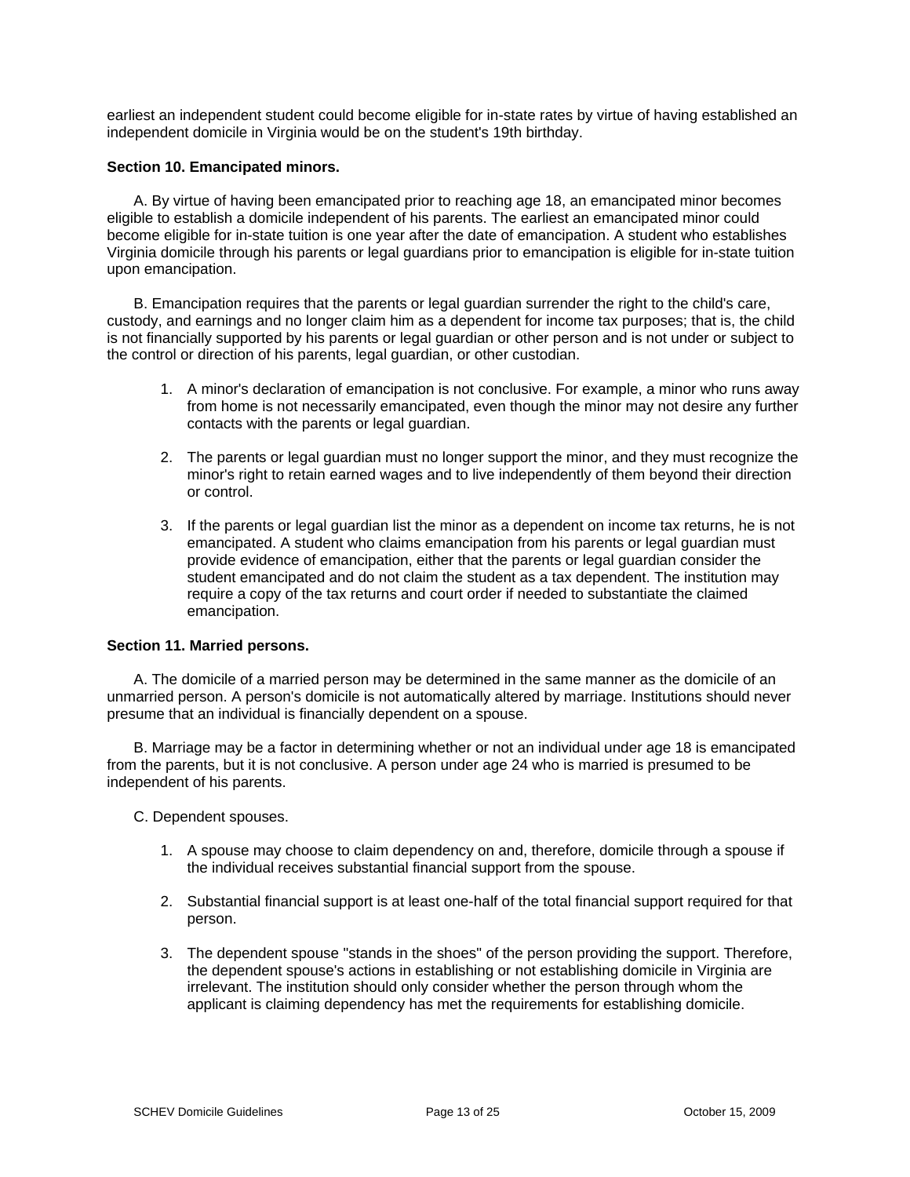earliest an independent student could become eligible for in-state rates by virtue of having established an independent domicile in Virginia would be on the student's 19th birthday.

### **Section 10. Emancipated minors.**

A. By virtue of having been emancipated prior to reaching age 18, an emancipated minor becomes eligible to establish a domicile independent of his parents. The earliest an emancipated minor could become eligible for in-state tuition is one year after the date of emancipation. A student who establishes Virginia domicile through his parents or legal guardians prior to emancipation is eligible for in-state tuition upon emancipation.

B. Emancipation requires that the parents or legal guardian surrender the right to the child's care, custody, and earnings and no longer claim him as a dependent for income tax purposes; that is, the child is not financially supported by his parents or legal guardian or other person and is not under or subject to the control or direction of his parents, legal guardian, or other custodian.

- 1. A minor's declaration of emancipation is not conclusive. For example, a minor who runs away from home is not necessarily emancipated, even though the minor may not desire any further contacts with the parents or legal guardian.
- 2. The parents or legal guardian must no longer support the minor, and they must recognize the minor's right to retain earned wages and to live independently of them beyond their direction or control.
- 3. If the parents or legal guardian list the minor as a dependent on income tax returns, he is not emancipated. A student who claims emancipation from his parents or legal guardian must provide evidence of emancipation, either that the parents or legal guardian consider the student emancipated and do not claim the student as a tax dependent. The institution may require a copy of the tax returns and court order if needed to substantiate the claimed emancipation.

### **Section 11. Married persons.**

A. The domicile of a married person may be determined in the same manner as the domicile of an unmarried person. A person's domicile is not automatically altered by marriage. Institutions should never presume that an individual is financially dependent on a spouse.

B. Marriage may be a factor in determining whether or not an individual under age 18 is emancipated from the parents, but it is not conclusive. A person under age 24 who is married is presumed to be independent of his parents.

C. Dependent spouses.

- 1. A spouse may choose to claim dependency on and, therefore, domicile through a spouse if the individual receives substantial financial support from the spouse.
- 2. Substantial financial support is at least one-half of the total financial support required for that person.
- 3. The dependent spouse "stands in the shoes" of the person providing the support. Therefore, the dependent spouse's actions in establishing or not establishing domicile in Virginia are irrelevant. The institution should only consider whether the person through whom the applicant is claiming dependency has met the requirements for establishing domicile.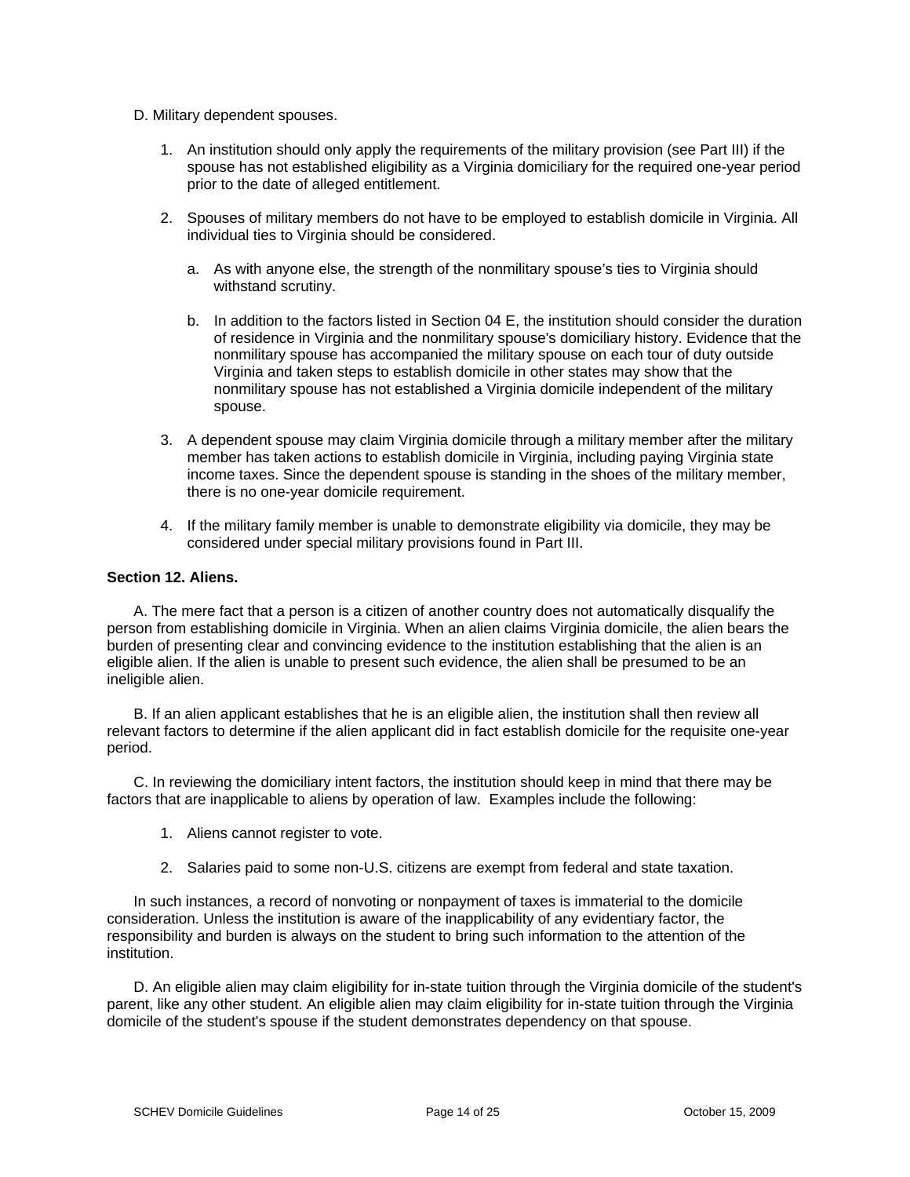- D. Military dependent spouses.
	- 1. An institution should only apply the requirements of the military provision (see Part III) if the spouse has not established eligibility as a Virginia domiciliary for the required one-year period prior to the date of alleged entitlement.
	- 2. Spouses of military members do not have to be employed to establish domicile in Virginia. All individual ties to Virginia should be considered.
		- a. As with anyone else, the strength of the nonmilitary spouse's ties to Virginia should withstand scrutiny.
		- b. In addition to the factors listed in Section 04 E, the institution should consider the duration of residence in Virginia and the nonmilitary spouse's domiciliary history. Evidence that the nonmilitary spouse has accompanied the military spouse on each tour of duty outside Virginia and taken steps to establish domicile in other states may show that the nonmilitary spouse has not established a Virginia domicile independent of the military spouse.
	- 3. A dependent spouse may claim Virginia domicile through a military member after the military member has taken actions to establish domicile in Virginia, including paying Virginia state income taxes. Since the dependent spouse is standing in the shoes of the military member, there is no one-year domicile requirement.
	- 4. If the military family member is unable to demonstrate eligibility via domicile, they may be considered under special military provisions found in Part III.

### **Section 12. Aliens.**

A. The mere fact that a person is a citizen of another country does not automatically disqualify the person from establishing domicile in Virginia. When an alien claims Virginia domicile, the alien bears the burden of presenting clear and convincing evidence to the institution establishing that the alien is an eligible alien. If the alien is unable to present such evidence, the alien shall be presumed to be an ineligible alien.

B. If an alien applicant establishes that he is an eligible alien, the institution shall then review all relevant factors to determine if the alien applicant did in fact establish domicile for the requisite one-year period.

C. In reviewing the domiciliary intent factors, the institution should keep in mind that there may be factors that are inapplicable to aliens by operation of law. Examples include the following:

- 1. Aliens cannot register to vote.
- 2. Salaries paid to some non-U.S. citizens are exempt from federal and state taxation.

In such instances, a record of nonvoting or nonpayment of taxes is immaterial to the domicile consideration. Unless the institution is aware of the inapplicability of any evidentiary factor, the responsibility and burden is always on the student to bring such information to the attention of the institution.

D. An eligible alien may claim eligibility for in-state tuition through the Virginia domicile of the student's parent, like any other student. An eligible alien may claim eligibility for in-state tuition through the Virginia domicile of the student's spouse if the student demonstrates dependency on that spouse.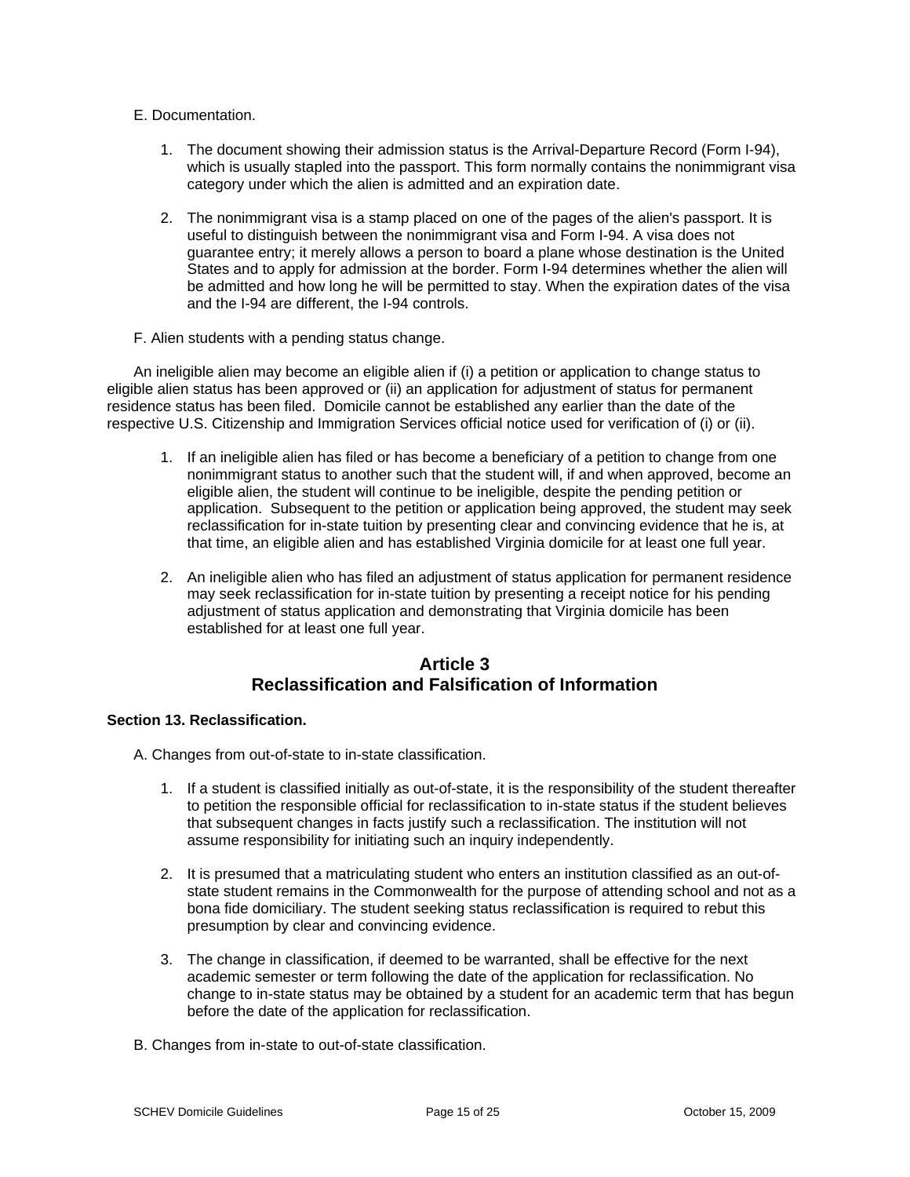## E. Documentation.

- 1. The document showing their admission status is the Arrival-Departure Record (Form I-94), which is usually stapled into the passport. This form normally contains the nonimmigrant visa category under which the alien is admitted and an expiration date.
- 2. The nonimmigrant visa is a stamp placed on one of the pages of the alien's passport. It is useful to distinguish between the nonimmigrant visa and Form I-94. A visa does not guarantee entry; it merely allows a person to board a plane whose destination is the United States and to apply for admission at the border. Form I-94 determines whether the alien will be admitted and how long he will be permitted to stay. When the expiration dates of the visa and the I-94 are different, the I-94 controls.
- F. Alien students with a pending status change.

An ineligible alien may become an eligible alien if (i) a petition or application to change status to eligible alien status has been approved or (ii) an application for adjustment of status for permanent residence status has been filed. Domicile cannot be established any earlier than the date of the respective U.S. Citizenship and Immigration Services official notice used for verification of (i) or (ii).

- 1. If an ineligible alien has filed or has become a beneficiary of a petition to change from one nonimmigrant status to another such that the student will, if and when approved, become an eligible alien, the student will continue to be ineligible, despite the pending petition or application. Subsequent to the petition or application being approved, the student may seek reclassification for in-state tuition by presenting clear and convincing evidence that he is, at that time, an eligible alien and has established Virginia domicile for at least one full year.
- 2. An ineligible alien who has filed an adjustment of status application for permanent residence may seek reclassification for in-state tuition by presenting a receipt notice for his pending adjustment of status application and demonstrating that Virginia domicile has been established for at least one full year.

# **Article 3 Reclassification and Falsification of Information**

## **Section 13. Reclassification.**

A. Changes from out-of-state to in-state classification.

- 1. If a student is classified initially as out-of-state, it is the responsibility of the student thereafter to petition the responsible official for reclassification to in-state status if the student believes that subsequent changes in facts justify such a reclassification. The institution will not assume responsibility for initiating such an inquiry independently.
- 2. It is presumed that a matriculating student who enters an institution classified as an out-ofstate student remains in the Commonwealth for the purpose of attending school and not as a bona fide domiciliary. The student seeking status reclassification is required to rebut this presumption by clear and convincing evidence.
- 3. The change in classification, if deemed to be warranted, shall be effective for the next academic semester or term following the date of the application for reclassification. No change to in-state status may be obtained by a student for an academic term that has begun before the date of the application for reclassification.
- B. Changes from in-state to out-of-state classification.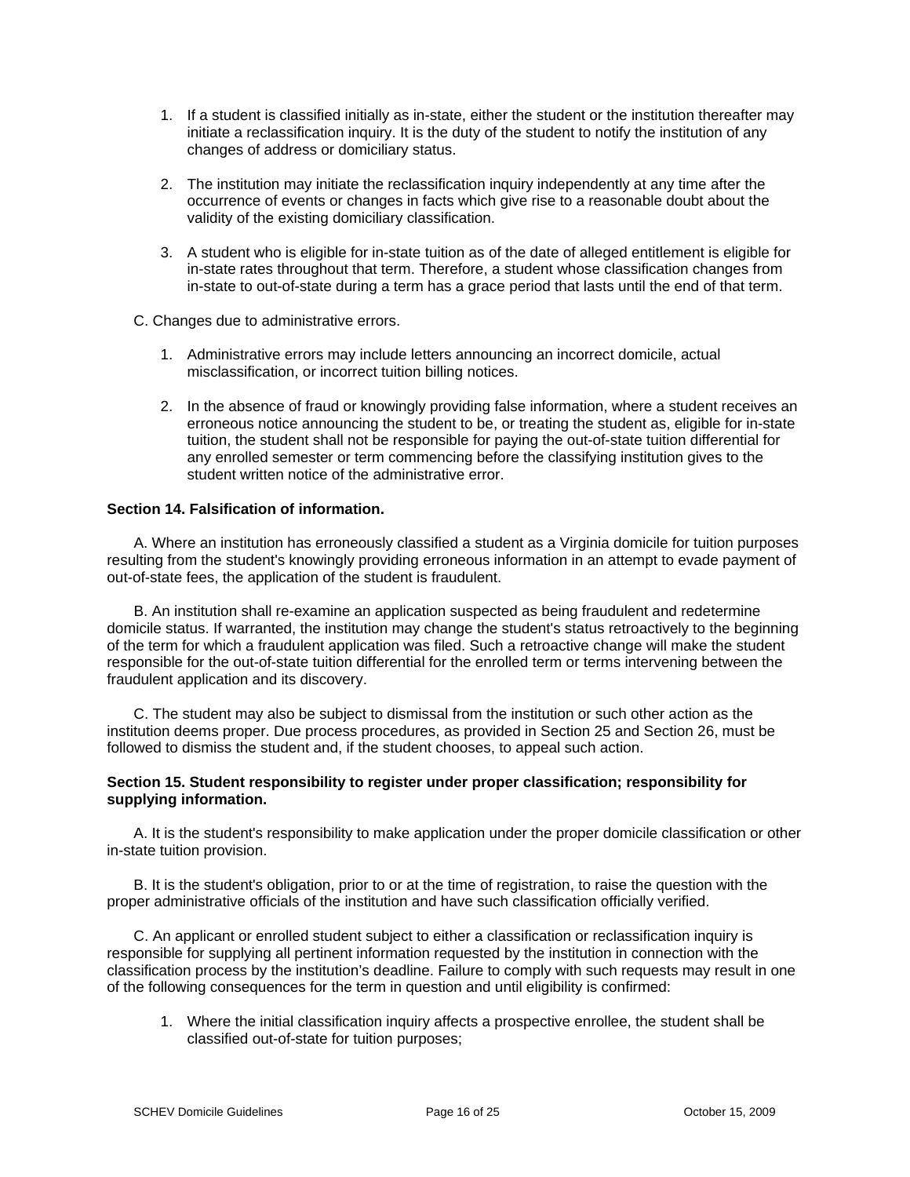- 1. If a student is classified initially as in-state, either the student or the institution thereafter may initiate a reclassification inquiry. It is the duty of the student to notify the institution of any changes of address or domiciliary status.
- 2. The institution may initiate the reclassification inquiry independently at any time after the occurrence of events or changes in facts which give rise to a reasonable doubt about the validity of the existing domiciliary classification.
- 3. A student who is eligible for in-state tuition as of the date of alleged entitlement is eligible for in-state rates throughout that term. Therefore, a student whose classification changes from in-state to out-of-state during a term has a grace period that lasts until the end of that term.
- C. Changes due to administrative errors.
	- 1. Administrative errors may include letters announcing an incorrect domicile, actual misclassification, or incorrect tuition billing notices.
	- 2. In the absence of fraud or knowingly providing false information, where a student receives an erroneous notice announcing the student to be, or treating the student as, eligible for in-state tuition, the student shall not be responsible for paying the out-of-state tuition differential for any enrolled semester or term commencing before the classifying institution gives to the student written notice of the administrative error.

## **Section 14. Falsification of information.**

A. Where an institution has erroneously classified a student as a Virginia domicile for tuition purposes resulting from the student's knowingly providing erroneous information in an attempt to evade payment of out-of-state fees, the application of the student is fraudulent.

B. An institution shall re-examine an application suspected as being fraudulent and redetermine domicile status. If warranted, the institution may change the student's status retroactively to the beginning of the term for which a fraudulent application was filed. Such a retroactive change will make the student responsible for the out-of-state tuition differential for the enrolled term or terms intervening between the fraudulent application and its discovery.

C. The student may also be subject to dismissal from the institution or such other action as the institution deems proper. Due process procedures, as provided in Section 25 and Section 26, must be followed to dismiss the student and, if the student chooses, to appeal such action.

## **Section 15. Student responsibility to register under proper classification; responsibility for supplying information.**

A. It is the student's responsibility to make application under the proper domicile classification or other in-state tuition provision.

B. It is the student's obligation, prior to or at the time of registration, to raise the question with the proper administrative officials of the institution and have such classification officially verified.

C. An applicant or enrolled student subject to either a classification or reclassification inquiry is responsible for supplying all pertinent information requested by the institution in connection with the classification process by the institution's deadline. Failure to comply with such requests may result in one of the following consequences for the term in question and until eligibility is confirmed:

1. Where the initial classification inquiry affects a prospective enrollee, the student shall be classified out-of-state for tuition purposes;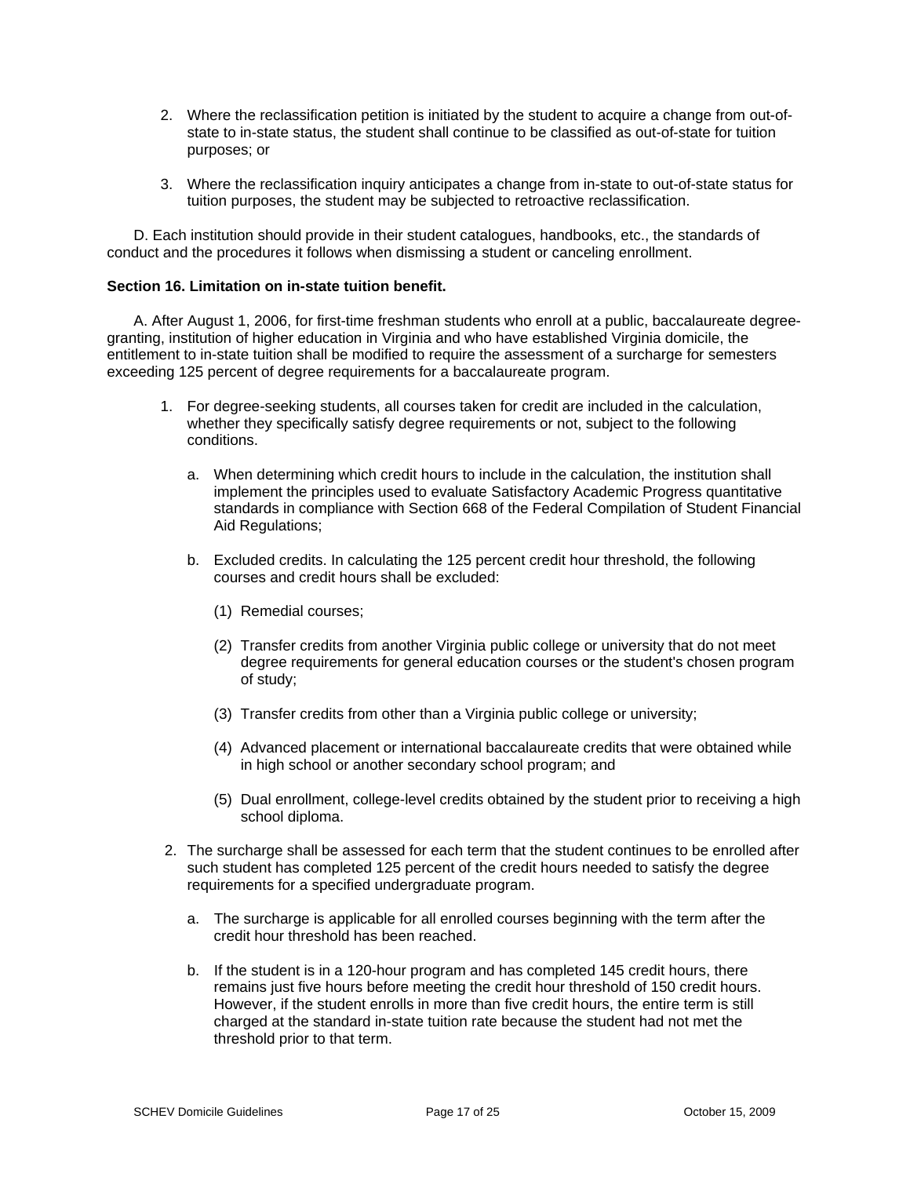- 2. Where the reclassification petition is initiated by the student to acquire a change from out-ofstate to in-state status, the student shall continue to be classified as out-of-state for tuition purposes; or
- 3. Where the reclassification inquiry anticipates a change from in-state to out-of-state status for tuition purposes, the student may be subjected to retroactive reclassification.

D. Each institution should provide in their student catalogues, handbooks, etc., the standards of conduct and the procedures it follows when dismissing a student or canceling enrollment.

### **Section 16. Limitation on in-state tuition benefit.**

A. After August 1, 2006, for first-time freshman students who enroll at a public, baccalaureate degreegranting, institution of higher education in Virginia and who have established Virginia domicile, the entitlement to in-state tuition shall be modified to require the assessment of a surcharge for semesters exceeding 125 percent of degree requirements for a baccalaureate program.

- 1. For degree-seeking students, all courses taken for credit are included in the calculation, whether they specifically satisfy degree requirements or not, subject to the following conditions.
	- a. When determining which credit hours to include in the calculation, the institution shall implement the principles used to evaluate Satisfactory Academic Progress quantitative standards in compliance with Section 668 of the Federal Compilation of Student Financial Aid Regulations;
	- b. Excluded credits. In calculating the 125 percent credit hour threshold, the following courses and credit hours shall be excluded:
		- (1) Remedial courses;
		- (2) Transfer credits from another Virginia public college or university that do not meet degree requirements for general education courses or the student's chosen program of study;
		- (3) Transfer credits from other than a Virginia public college or university;
		- (4) Advanced placement or international baccalaureate credits that were obtained while in high school or another secondary school program; and
		- (5) Dual enrollment, college-level credits obtained by the student prior to receiving a high school diploma.
- 2. The surcharge shall be assessed for each term that the student continues to be enrolled after such student has completed 125 percent of the credit hours needed to satisfy the degree requirements for a specified undergraduate program.
	- a. The surcharge is applicable for all enrolled courses beginning with the term after the credit hour threshold has been reached.
	- b. If the student is in a 120-hour program and has completed 145 credit hours, there remains just five hours before meeting the credit hour threshold of 150 credit hours. However, if the student enrolls in more than five credit hours, the entire term is still charged at the standard in-state tuition rate because the student had not met the threshold prior to that term.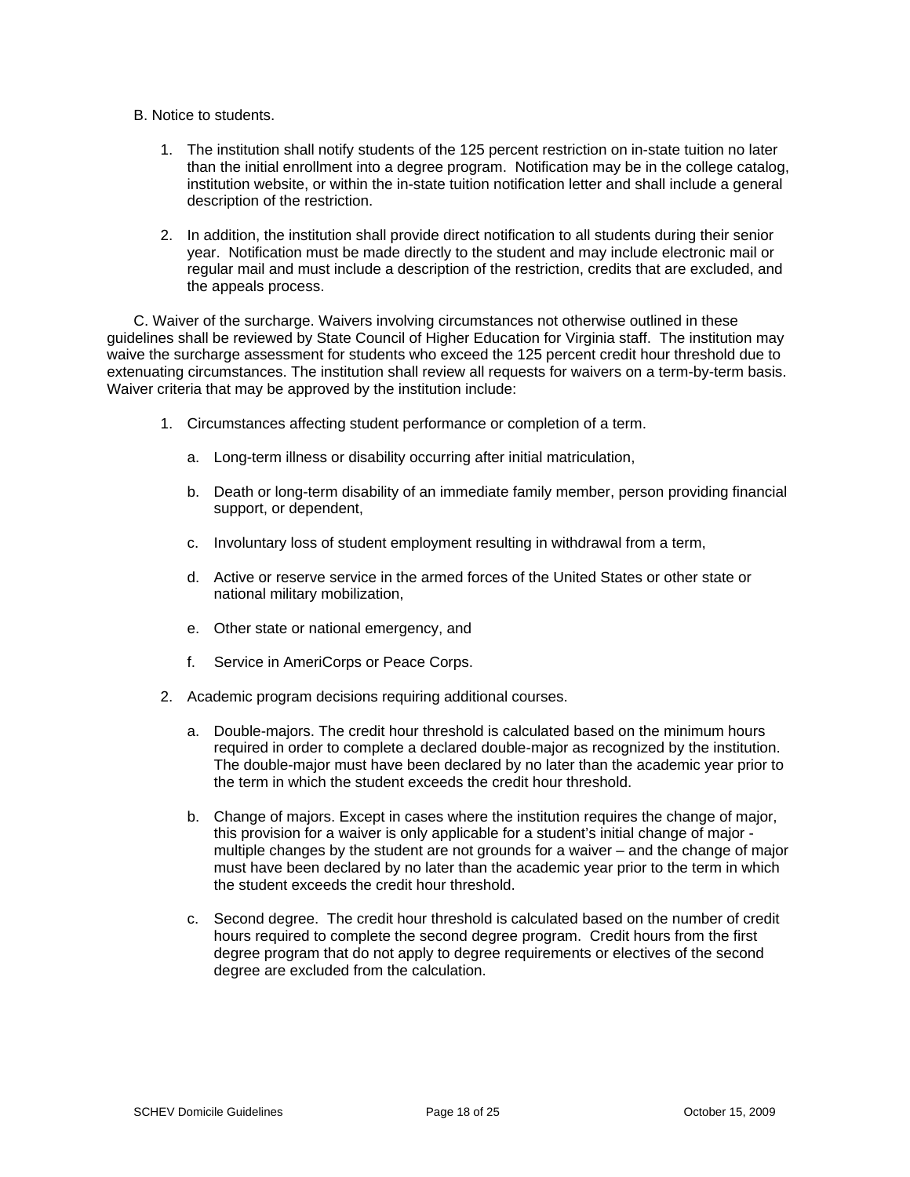- B. Notice to students.
	- 1. The institution shall notify students of the 125 percent restriction on in-state tuition no later than the initial enrollment into a degree program. Notification may be in the college catalog, institution website, or within the in-state tuition notification letter and shall include a general description of the restriction.
	- 2. In addition, the institution shall provide direct notification to all students during their senior year. Notification must be made directly to the student and may include electronic mail or regular mail and must include a description of the restriction, credits that are excluded, and the appeals process.

C. Waiver of the surcharge. Waivers involving circumstances not otherwise outlined in these guidelines shall be reviewed by State Council of Higher Education for Virginia staff. The institution may waive the surcharge assessment for students who exceed the 125 percent credit hour threshold due to extenuating circumstances. The institution shall review all requests for waivers on a term-by-term basis. Waiver criteria that may be approved by the institution include:

- 1. Circumstances affecting student performance or completion of a term.
	- a. Long-term illness or disability occurring after initial matriculation,
	- b. Death or long-term disability of an immediate family member, person providing financial support, or dependent,
	- c. Involuntary loss of student employment resulting in withdrawal from a term,
	- d. Active or reserve service in the armed forces of the United States or other state or national military mobilization,
	- e. Other state or national emergency, and
	- f. Service in AmeriCorps or Peace Corps.
- 2. Academic program decisions requiring additional courses.
	- a. Double-majors. The credit hour threshold is calculated based on the minimum hours required in order to complete a declared double-major as recognized by the institution. The double-major must have been declared by no later than the academic year prior to the term in which the student exceeds the credit hour threshold.
	- b. Change of majors. Except in cases where the institution requires the change of major, this provision for a waiver is only applicable for a student's initial change of major multiple changes by the student are not grounds for a waiver – and the change of major must have been declared by no later than the academic year prior to the term in which the student exceeds the credit hour threshold.
	- c. Second degree. The credit hour threshold is calculated based on the number of credit hours required to complete the second degree program. Credit hours from the first degree program that do not apply to degree requirements or electives of the second degree are excluded from the calculation.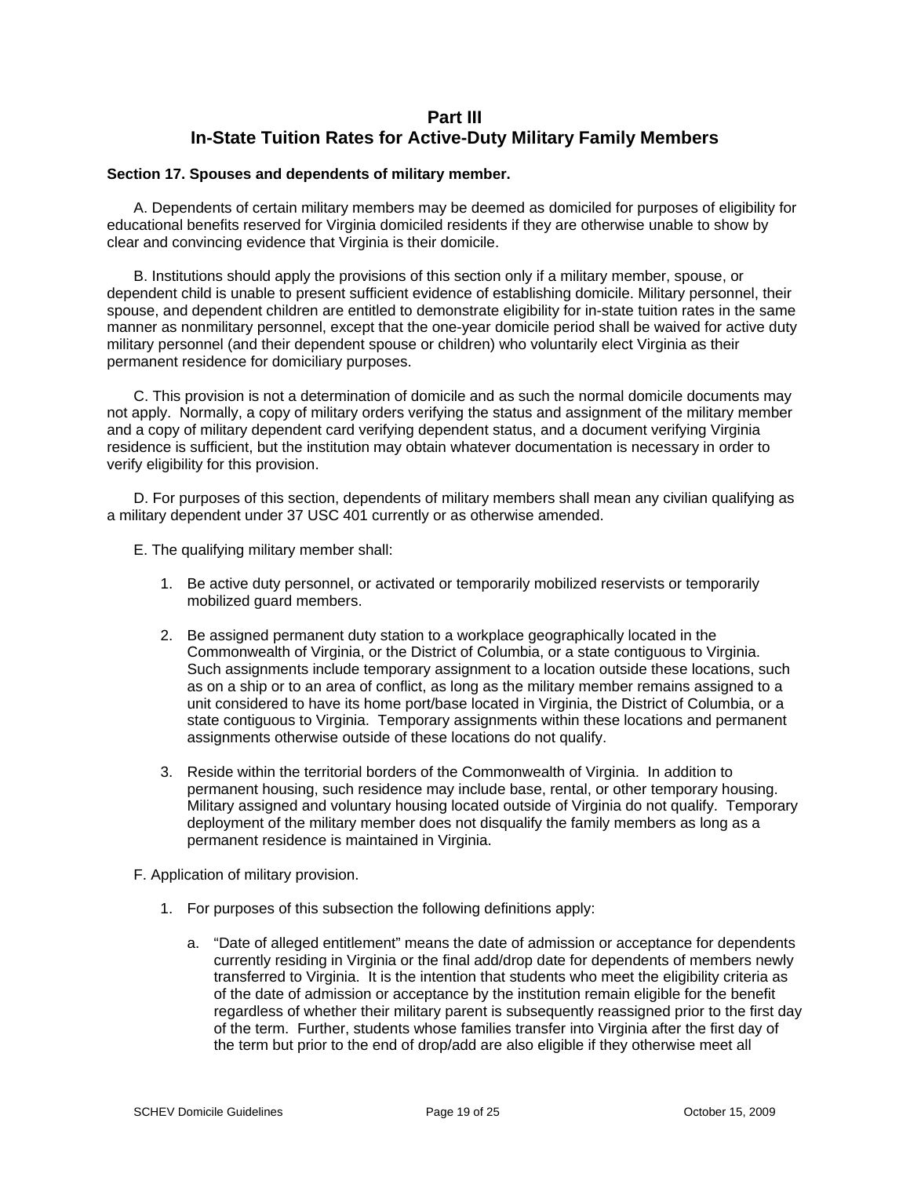# **Part III In-State Tuition Rates for Active-Duty Military Family Members**

### **Section 17. Spouses and dependents of military member.**

A. Dependents of certain military members may be deemed as domiciled for purposes of eligibility for educational benefits reserved for Virginia domiciled residents if they are otherwise unable to show by clear and convincing evidence that Virginia is their domicile.

B. Institutions should apply the provisions of this section only if a military member, spouse, or dependent child is unable to present sufficient evidence of establishing domicile. Military personnel, their spouse, and dependent children are entitled to demonstrate eligibility for in-state tuition rates in the same manner as nonmilitary personnel, except that the one-year domicile period shall be waived for active duty military personnel (and their dependent spouse or children) who voluntarily elect Virginia as their permanent residence for domiciliary purposes.

C. This provision is not a determination of domicile and as such the normal domicile documents may not apply. Normally, a copy of military orders verifying the status and assignment of the military member and a copy of military dependent card verifying dependent status, and a document verifying Virginia residence is sufficient, but the institution may obtain whatever documentation is necessary in order to verify eligibility for this provision.

D. For purposes of this section, dependents of military members shall mean any civilian qualifying as a military dependent under 37 USC 401 currently or as otherwise amended.

- E. The qualifying military member shall:
	- 1. Be active duty personnel, or activated or temporarily mobilized reservists or temporarily mobilized guard members.
	- 2. Be assigned permanent duty station to a workplace geographically located in the Commonwealth of Virginia, or the District of Columbia, or a state contiguous to Virginia. Such assignments include temporary assignment to a location outside these locations, such as on a ship or to an area of conflict, as long as the military member remains assigned to a unit considered to have its home port/base located in Virginia, the District of Columbia, or a state contiguous to Virginia. Temporary assignments within these locations and permanent assignments otherwise outside of these locations do not qualify.
	- 3. Reside within the territorial borders of the Commonwealth of Virginia. In addition to permanent housing, such residence may include base, rental, or other temporary housing. Military assigned and voluntary housing located outside of Virginia do not qualify. Temporary deployment of the military member does not disqualify the family members as long as a permanent residence is maintained in Virginia.
- F. Application of military provision.
	- 1. For purposes of this subsection the following definitions apply:
		- a. "Date of alleged entitlement" means the date of admission or acceptance for dependents currently residing in Virginia or the final add/drop date for dependents of members newly transferred to Virginia. It is the intention that students who meet the eligibility criteria as of the date of admission or acceptance by the institution remain eligible for the benefit regardless of whether their military parent is subsequently reassigned prior to the first day of the term. Further, students whose families transfer into Virginia after the first day of the term but prior to the end of drop/add are also eligible if they otherwise meet all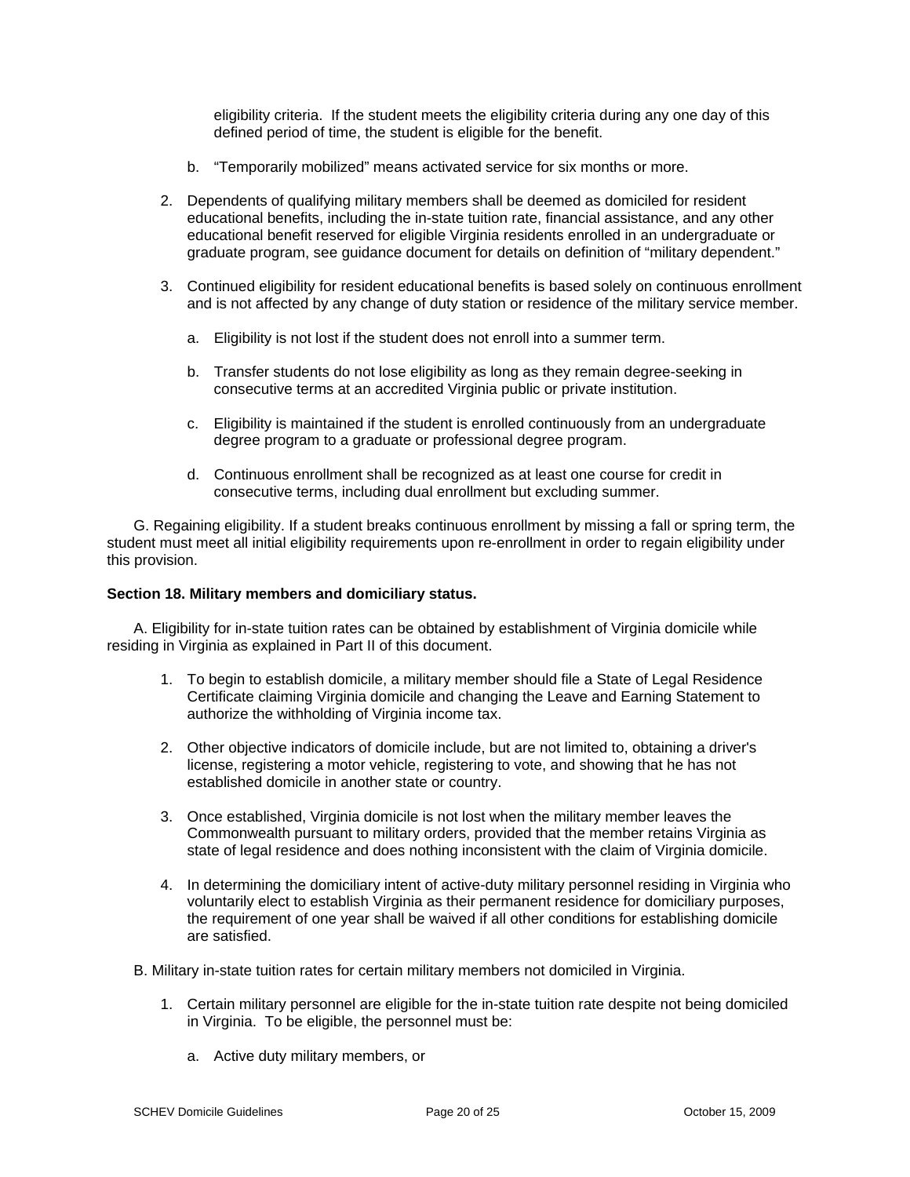eligibility criteria. If the student meets the eligibility criteria during any one day of this defined period of time, the student is eligible for the benefit.

- b. "Temporarily mobilized" means activated service for six months or more.
- 2. Dependents of qualifying military members shall be deemed as domiciled for resident educational benefits, including the in-state tuition rate, financial assistance, and any other educational benefit reserved for eligible Virginia residents enrolled in an undergraduate or graduate program, see guidance document for details on definition of "military dependent."
- 3. Continued eligibility for resident educational benefits is based solely on continuous enrollment and is not affected by any change of duty station or residence of the military service member.
	- a. Eligibility is not lost if the student does not enroll into a summer term.
	- b. Transfer students do not lose eligibility as long as they remain degree-seeking in consecutive terms at an accredited Virginia public or private institution.
	- c. Eligibility is maintained if the student is enrolled continuously from an undergraduate degree program to a graduate or professional degree program.
	- d. Continuous enrollment shall be recognized as at least one course for credit in consecutive terms, including dual enrollment but excluding summer.

G. Regaining eligibility. If a student breaks continuous enrollment by missing a fall or spring term, the student must meet all initial eligibility requirements upon re-enrollment in order to regain eligibility under this provision.

### **Section 18. Military members and domiciliary status.**

A. Eligibility for in-state tuition rates can be obtained by establishment of Virginia domicile while residing in Virginia as explained in Part II of this document.

- 1. To begin to establish domicile, a military member should file a State of Legal Residence Certificate claiming Virginia domicile and changing the Leave and Earning Statement to authorize the withholding of Virginia income tax.
- 2. Other objective indicators of domicile include, but are not limited to, obtaining a driver's license, registering a motor vehicle, registering to vote, and showing that he has not established domicile in another state or country.
- 3. Once established, Virginia domicile is not lost when the military member leaves the Commonwealth pursuant to military orders, provided that the member retains Virginia as state of legal residence and does nothing inconsistent with the claim of Virginia domicile.
- 4. In determining the domiciliary intent of active-duty military personnel residing in Virginia who voluntarily elect to establish Virginia as their permanent residence for domiciliary purposes, the requirement of one year shall be waived if all other conditions for establishing domicile are satisfied.

B. Military in-state tuition rates for certain military members not domiciled in Virginia.

- 1. Certain military personnel are eligible for the in-state tuition rate despite not being domiciled in Virginia. To be eligible, the personnel must be:
	- a. Active duty military members, or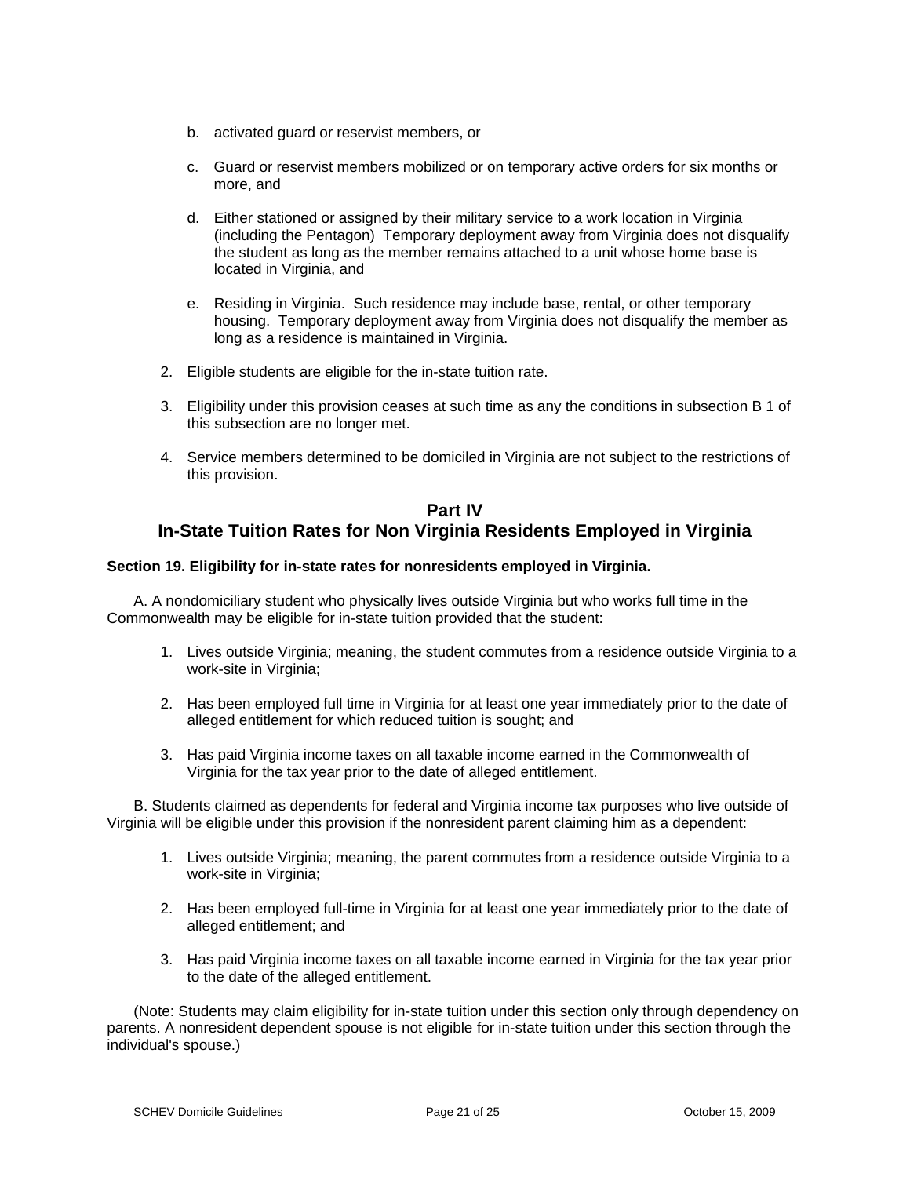- b. activated guard or reservist members, or
- c. Guard or reservist members mobilized or on temporary active orders for six months or more, and
- d. Either stationed or assigned by their military service to a work location in Virginia (including the Pentagon) Temporary deployment away from Virginia does not disqualify the student as long as the member remains attached to a unit whose home base is located in Virginia, and
- e. Residing in Virginia. Such residence may include base, rental, or other temporary housing. Temporary deployment away from Virginia does not disqualify the member as long as a residence is maintained in Virginia.
- 2. Eligible students are eligible for the in-state tuition rate.
- 3. Eligibility under this provision ceases at such time as any the conditions in subsection B 1 of this subsection are no longer met.
- 4. Service members determined to be domiciled in Virginia are not subject to the restrictions of this provision.

# **Part IV In-State Tuition Rates for Non Virginia Residents Employed in Virginia**

## **Section 19. Eligibility for in-state rates for nonresidents employed in Virginia.**

A. A nondomiciliary student who physically lives outside Virginia but who works full time in the Commonwealth may be eligible for in-state tuition provided that the student:

- 1. Lives outside Virginia; meaning, the student commutes from a residence outside Virginia to a work-site in Virginia;
- 2. Has been employed full time in Virginia for at least one year immediately prior to the date of alleged entitlement for which reduced tuition is sought; and
- 3. Has paid Virginia income taxes on all taxable income earned in the Commonwealth of Virginia for the tax year prior to the date of alleged entitlement.

B. Students claimed as dependents for federal and Virginia income tax purposes who live outside of Virginia will be eligible under this provision if the nonresident parent claiming him as a dependent:

- 1. Lives outside Virginia; meaning, the parent commutes from a residence outside Virginia to a work-site in Virginia;
- 2. Has been employed full-time in Virginia for at least one year immediately prior to the date of alleged entitlement; and
- 3. Has paid Virginia income taxes on all taxable income earned in Virginia for the tax year prior to the date of the alleged entitlement.

(Note: Students may claim eligibility for in-state tuition under this section only through dependency on parents. A nonresident dependent spouse is not eligible for in-state tuition under this section through the individual's spouse.)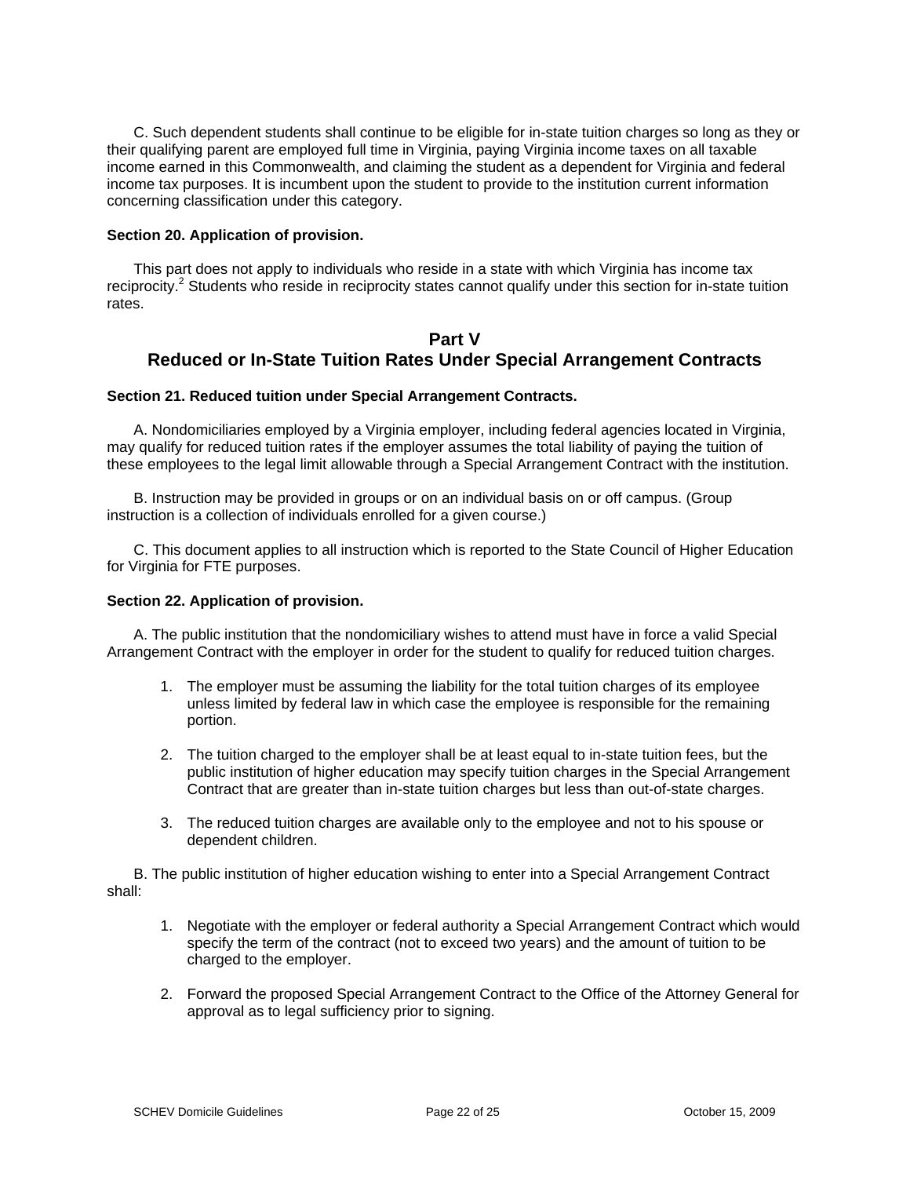C. Such dependent students shall continue to be eligible for in-state tuition charges so long as they or their qualifying parent are employed full time in Virginia, paying Virginia income taxes on all taxable income earned in this Commonwealth, and claiming the student as a dependent for Virginia and federal income tax purposes. It is incumbent upon the student to provide to the institution current information concerning classification under this category.

### **Section 20. Application of provision.**

This part does not apply to individuals who reside in a state with which Virginia has income tax reciprocity.<sup>2</sup> Students who reside in reciprocity states cannot qualify under this section for in-state tuition rates.

# **Part V Reduced or In-State Tuition Rates Under Special Arrangement Contracts**

### **Section 21. Reduced tuition under Special Arrangement Contracts.**

A. Nondomiciliaries employed by a Virginia employer, including federal agencies located in Virginia, may qualify for reduced tuition rates if the employer assumes the total liability of paying the tuition of these employees to the legal limit allowable through a Special Arrangement Contract with the institution.

B. Instruction may be provided in groups or on an individual basis on or off campus. (Group instruction is a collection of individuals enrolled for a given course.)

C. This document applies to all instruction which is reported to the State Council of Higher Education for Virginia for FTE purposes.

#### **Section 22. Application of provision.**

A. The public institution that the nondomiciliary wishes to attend must have in force a valid Special Arrangement Contract with the employer in order for the student to qualify for reduced tuition charges.

- 1. The employer must be assuming the liability for the total tuition charges of its employee unless limited by federal law in which case the employee is responsible for the remaining portion.
- 2. The tuition charged to the employer shall be at least equal to in-state tuition fees, but the public institution of higher education may specify tuition charges in the Special Arrangement Contract that are greater than in-state tuition charges but less than out-of-state charges.
- 3. The reduced tuition charges are available only to the employee and not to his spouse or dependent children.

B. The public institution of higher education wishing to enter into a Special Arrangement Contract shall:

- 1. Negotiate with the employer or federal authority a Special Arrangement Contract which would specify the term of the contract (not to exceed two years) and the amount of tuition to be charged to the employer.
- 2. Forward the proposed Special Arrangement Contract to the Office of the Attorney General for approval as to legal sufficiency prior to signing.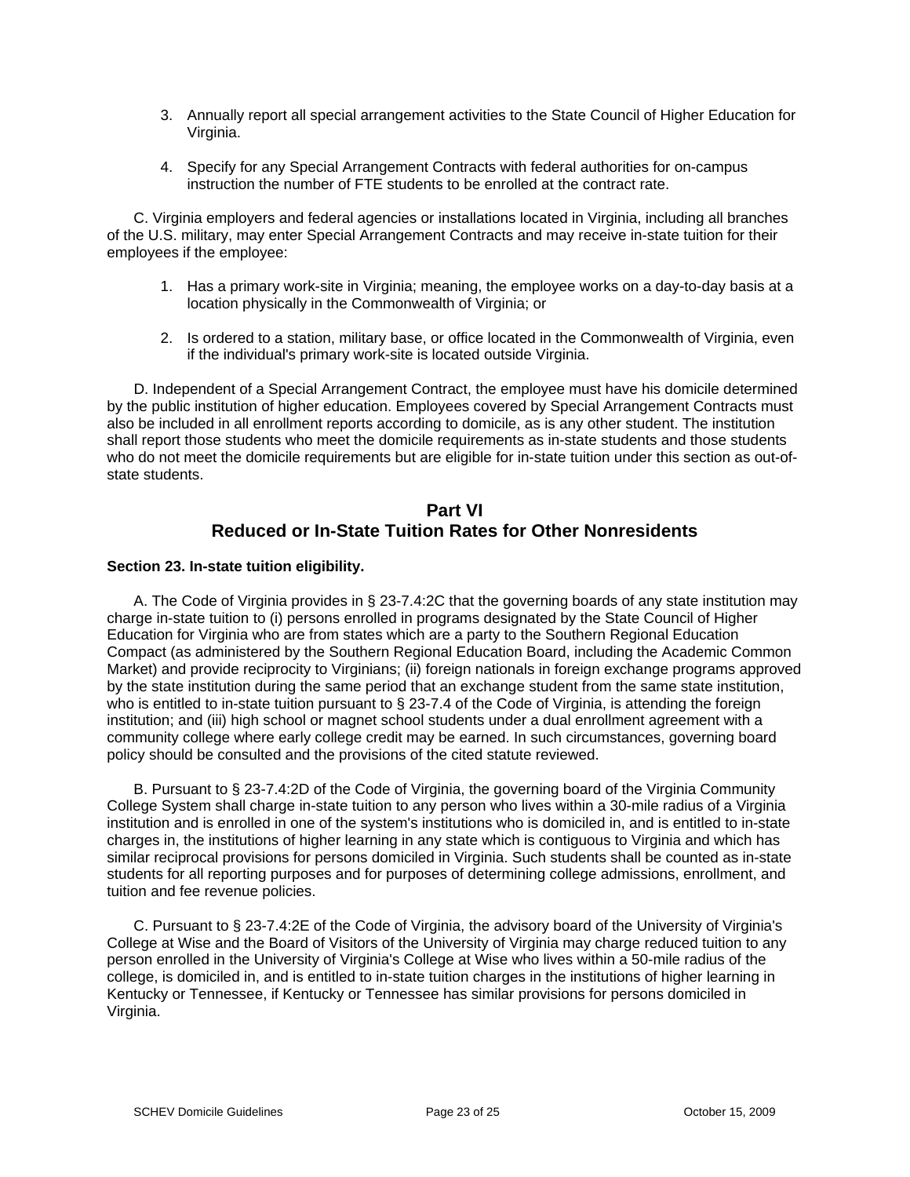- 3. Annually report all special arrangement activities to the State Council of Higher Education for Virginia.
- 4. Specify for any Special Arrangement Contracts with federal authorities for on-campus instruction the number of FTE students to be enrolled at the contract rate.

C. Virginia employers and federal agencies or installations located in Virginia, including all branches of the U.S. military, may enter Special Arrangement Contracts and may receive in-state tuition for their employees if the employee:

- 1. Has a primary work-site in Virginia; meaning, the employee works on a day-to-day basis at a location physically in the Commonwealth of Virginia; or
- 2. Is ordered to a station, military base, or office located in the Commonwealth of Virginia, even if the individual's primary work-site is located outside Virginia.

D. Independent of a Special Arrangement Contract, the employee must have his domicile determined by the public institution of higher education. Employees covered by Special Arrangement Contracts must also be included in all enrollment reports according to domicile, as is any other student. The institution shall report those students who meet the domicile requirements as in-state students and those students who do not meet the domicile requirements but are eligible for in-state tuition under this section as out-ofstate students.

# **Part VI Reduced or In-State Tuition Rates for Other Nonresidents**

## **Section 23. In-state tuition eligibility.**

A. The Code of Virginia provides in § 23-7.4:2C that the governing boards of any state institution may charge in-state tuition to (i) persons enrolled in programs designated by the State Council of Higher Education for Virginia who are from states which are a party to the Southern Regional Education Compact (as administered by the Southern Regional Education Board, including the Academic Common Market) and provide reciprocity to Virginians; (ii) foreign nationals in foreign exchange programs approved by the state institution during the same period that an exchange student from the same state institution, who is entitled to in-state tuition pursuant to § 23-7.4 of the Code of Virginia, is attending the foreign institution; and (iii) high school or magnet school students under a dual enrollment agreement with a community college where early college credit may be earned. In such circumstances, governing board policy should be consulted and the provisions of the cited statute reviewed.

B. Pursuant to § 23-7.4:2D of the Code of Virginia, the governing board of the Virginia Community College System shall charge in-state tuition to any person who lives within a 30-mile radius of a Virginia institution and is enrolled in one of the system's institutions who is domiciled in, and is entitled to in-state charges in, the institutions of higher learning in any state which is contiguous to Virginia and which has similar reciprocal provisions for persons domiciled in Virginia. Such students shall be counted as in-state students for all reporting purposes and for purposes of determining college admissions, enrollment, and tuition and fee revenue policies.

C. Pursuant to § 23-7.4:2E of the Code of Virginia, the advisory board of the University of Virginia's College at Wise and the Board of Visitors of the University of Virginia may charge reduced tuition to any person enrolled in the University of Virginia's College at Wise who lives within a 50-mile radius of the college, is domiciled in, and is entitled to in-state tuition charges in the institutions of higher learning in Kentucky or Tennessee, if Kentucky or Tennessee has similar provisions for persons domiciled in Virginia.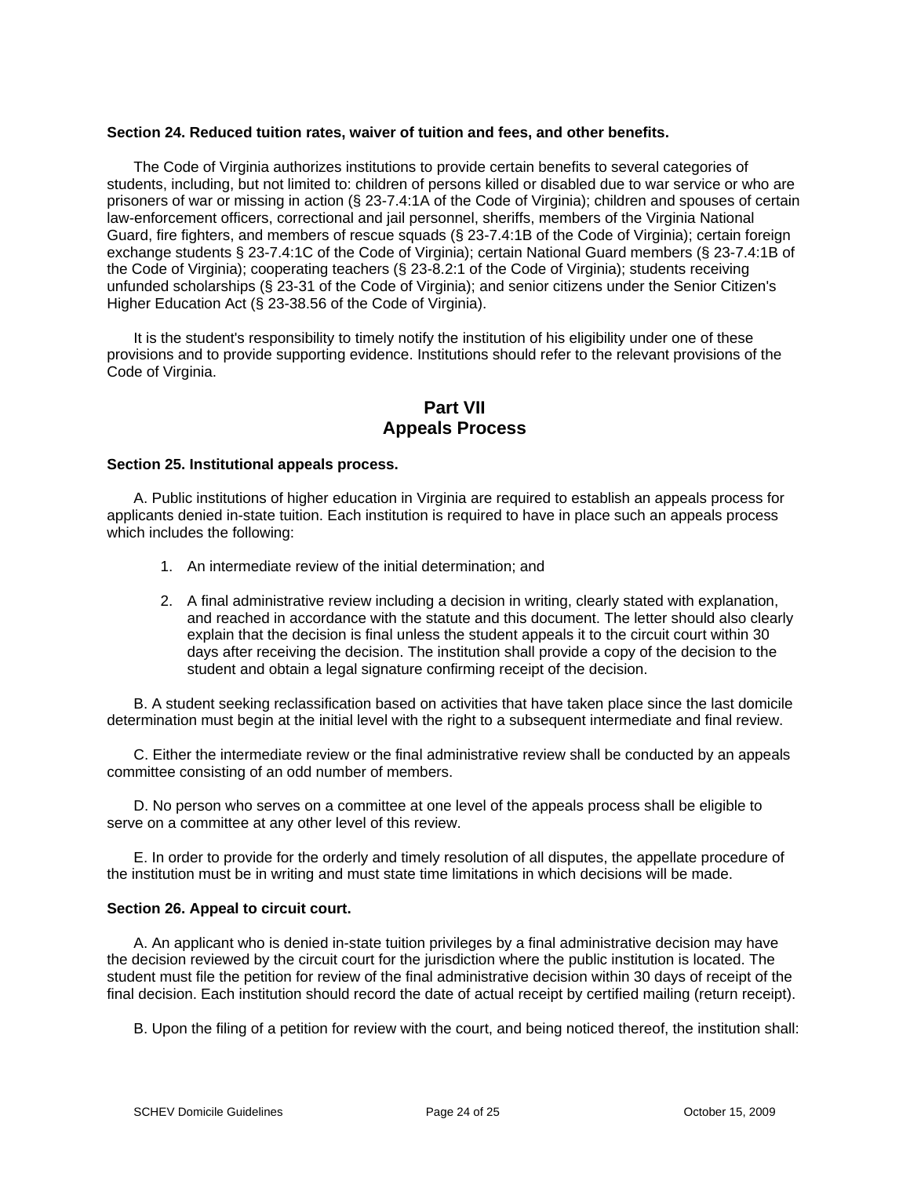### **Section 24. Reduced tuition rates, waiver of tuition and fees, and other benefits.**

The Code of Virginia authorizes institutions to provide certain benefits to several categories of students, including, but not limited to: children of persons killed or disabled due to war service or who are prisoners of war or missing in action (§ 23-7.4:1A of the Code of Virginia); children and spouses of certain law-enforcement officers, correctional and jail personnel, sheriffs, members of the Virginia National Guard, fire fighters, and members of rescue squads (§ 23-7.4:1B of the Code of Virginia); certain foreign exchange students § 23-7.4:1C of the Code of Virginia); certain National Guard members (§ 23-7.4:1B of the Code of Virginia); cooperating teachers (§ 23-8.2:1 of the Code of Virginia); students receiving unfunded scholarships (§ 23-31 of the Code of Virginia); and senior citizens under the Senior Citizen's Higher Education Act (§ 23-38.56 of the Code of Virginia).

It is the student's responsibility to timely notify the institution of his eligibility under one of these provisions and to provide supporting evidence. Institutions should refer to the relevant provisions of the Code of Virginia.

# **Part VII Appeals Process**

### **Section 25. Institutional appeals process.**

A. Public institutions of higher education in Virginia are required to establish an appeals process for applicants denied in-state tuition. Each institution is required to have in place such an appeals process which includes the following:

- 1. An intermediate review of the initial determination; and
- 2. A final administrative review including a decision in writing, clearly stated with explanation, and reached in accordance with the statute and this document. The letter should also clearly explain that the decision is final unless the student appeals it to the circuit court within 30 days after receiving the decision. The institution shall provide a copy of the decision to the student and obtain a legal signature confirming receipt of the decision.

B. A student seeking reclassification based on activities that have taken place since the last domicile determination must begin at the initial level with the right to a subsequent intermediate and final review.

C. Either the intermediate review or the final administrative review shall be conducted by an appeals committee consisting of an odd number of members.

D. No person who serves on a committee at one level of the appeals process shall be eligible to serve on a committee at any other level of this review.

E. In order to provide for the orderly and timely resolution of all disputes, the appellate procedure of the institution must be in writing and must state time limitations in which decisions will be made.

## **Section 26. Appeal to circuit court.**

A. An applicant who is denied in-state tuition privileges by a final administrative decision may have the decision reviewed by the circuit court for the jurisdiction where the public institution is located. The student must file the petition for review of the final administrative decision within 30 days of receipt of the final decision. Each institution should record the date of actual receipt by certified mailing (return receipt).

B. Upon the filing of a petition for review with the court, and being noticed thereof, the institution shall: